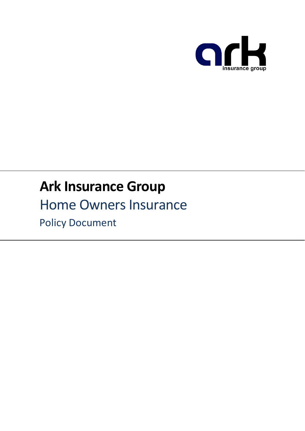

# **Ark Insurance Group**

# Home Owners Insurance

Policy Document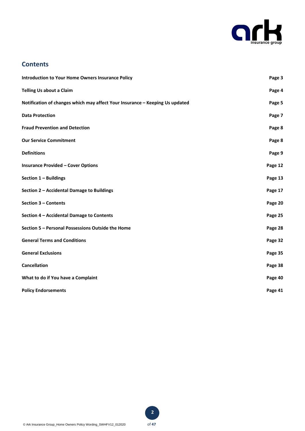

# **Contents**

| <b>Introduction to Your Home Owners Insurance Policy</b>                     | Page 3  |
|------------------------------------------------------------------------------|---------|
| <b>Telling Us about a Claim</b>                                              | Page 4  |
| Notification of changes which may affect Your Insurance - Keeping Us updated | Page 5  |
| <b>Data Protection</b>                                                       | Page 7  |
| <b>Fraud Prevention and Detection</b>                                        | Page 8  |
| <b>Our Service Commitment</b>                                                | Page 8  |
| <b>Definitions</b>                                                           | Page 9  |
| <b>Insurance Provided - Cover Options</b>                                    | Page 12 |
| Section 1 - Buildings                                                        | Page 13 |
| Section 2 - Accidental Damage to Buildings                                   | Page 17 |
| Section 3 - Contents                                                         | Page 20 |
| Section 4 - Accidental Damage to Contents                                    | Page 25 |
| Section 5 - Personal Possessions Outside the Home                            | Page 28 |
| <b>General Terms and Conditions</b>                                          | Page 32 |
| <b>General Exclusions</b>                                                    | Page 35 |
| <b>Cancellation</b>                                                          | Page 38 |
| What to do if You have a Complaint                                           | Page 40 |
| <b>Policy Endorsements</b>                                                   | Page 41 |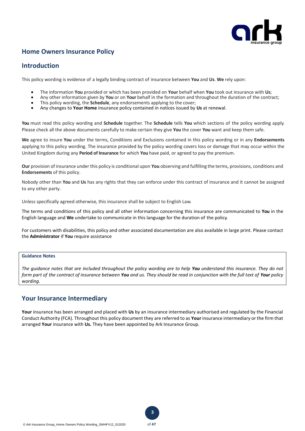

# **Home Owners Insurance Policy**

# **Introduction**

This policy wording is evidence of a legally binding contract of insurance between **You** and **Us**. **We** rely upon:

- The information **You** provided or which has been provided on **Your** behalf when **You** took out insurance with **Us**;
- Any other information given by **You** or on **Your** behalf in the formation and throughout the duration of the contract;
- This policy wording, the **Schedule**, any endorsements applying to the cover;
- Any changes to **Your Home** insurance policy contained in notices issued by **Us** at renewal.

**You** must read this policy wording and **Schedule** together. The **Schedule** tells **You** which sections of the policy wording apply. Please check all the above documents carefully to make certain they give **You** the cover **You** want and keep them safe.

**We** agree to insure **You** under the terms, Conditions and Exclusions contained in this policy wording or in any **Endorsements** applying to this policy wording. The insurance provided by the policy wording covers loss or damage that may occur within the United Kingdom during any **Period of Insurance** for which **You** have paid, or agreed to pay the premium.

**Our** provision of insurance under this policy is conditional upon **You** observing and fulfilling the terms, provisions, conditions and **Endorsements** of this policy.

Nobody other than **You** and **Us** has any rights that they can enforce under this contract of insurance and it cannot be assigned to any other party.

Unless specifically agreed otherwise, this insurance shall be subject to English Law.

The terms and conditions of this policy and all other information concerning this insurance are communicated to **You** in the English language and **We** undertake to communicate in this language for the duration of the policy.

For customers with disabilities, this policy and other associated documentation are also available in large print. Please contact the **Administrator** if **You** require assistance

# **Guidance Notes**

*The guidance notes that are included throughout the policy wording are to help You understand this insurance. They do not form part of the contract of insurance between You and us. They should be read in conjunction with the full text of Your policy wording.*

# **Your Insurance Intermediary**

**Your** insurance has been arranged and placed with **Us** by an insurance intermediary authorised and regulated by the Financial Conduct Authority (FCA). Throughout this policy document they are referred to as **Your** insurance intermediary or the firm that arranged **Your** insurance with **Us.** They have been appointed by Ark Insurance Group.



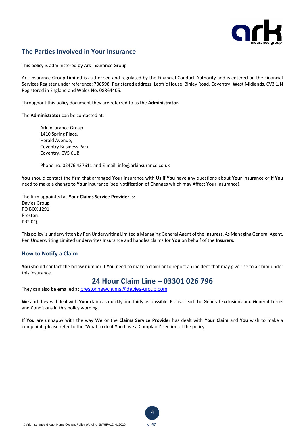

# **The Parties Involved in Your Insurance**

This policy is administered by Ark Insurance Group

Ark Insurance Group Limited is authorised and regulated by the Financial Conduct Authority and is entered on the Financial Services Register under reference: 706598. Registered address: Leofric House, Binley Road, Coventry, **We**st Midlands, CV3 1JN Registered in England and Wales No: 08864405.

Throughout this policy document they are referred to as the **Administrator.**

The **Administrator** can be contacted at:

Ark Insurance Group 1410 Spring Place, Herald Avenue, Coventry Business Park, Coventry, CV5 6UB

Phone no: 02476 437611 and E-mail: info@arkinsurance.co.uk

**You** should contact the firm that arranged **Your** insurance with **Us** if **You** have any questions about **Your** insurance or if **You** need to make a change to **Your** insurance (see Notification of Changes which may Affect **Your** Insurance).

The firm appointed as **Your Claims Service Provider** is: Davies Group PO BOX 1291 Preston PR2 0QJ

This policy is underwritten by Pen Underwriting Limited a Managing General Agent of the **Insurers**. As Managing General Agent, Pen Underwriting Limited underwrites Insurance and handles claims for **You** on behalf of the **Insurers**.

# **How to Notify a Claim**

**You** should contact the below number if **You** need to make a claim or to report an incident that may give rise to a claim under this insurance.

# **24 Hour Claim Line – 03301 026 796**

They can also be emailed at prestonnewclaims@davies-group.com

**We** and they will deal with **Your** claim as quickly and fairly as possible. Please read the General Exclusions and General Terms and Conditions in this policy wording.

If **You** are unhappy with the way **We** or the **Claims Service Provider** has dealt with **Your Claim** and **You** wish to make a complaint, please refer to the 'What to do if **You** have a Complaint' section of the policy.

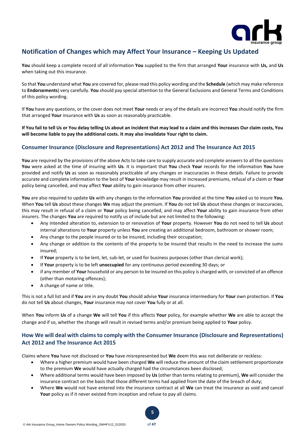

# **Notification of Changes which may Affect Your Insurance – Keeping Us Updated**

**You** should keep a complete record of all information **You** supplied to the firm that arranged **Your** insurance with **Us,** and **Us** when taking out this insurance.

So that **You** understand what **You** are covered for, please read this policy wording and the **Schedule** (which may make reference to **Endorsements**) very carefully. **You** should pay special attention to the General Exclusions and General Terms and Conditions of this policy wording.

If **You** have any questions, or the cover does not meet **Your** needs or any of the details are incorrect **You** should notify the firm that arranged **Your** insurance with **Us** as soon as reasonably practicable.

**If You fail to tell Us or You delay telling Us about an incident that may lead to a claim and this increases Our claim costs, You will become liable to pay the additional costs. It may also invalidate Your right to claim.** 

# **Consumer Insurance (Disclosure and Representations) Act 2012 and The Insurance Act 2015**

**You** are required by the provisions of the above Acts to take care to supply accurate and complete answers to all the questions **You** were asked at the time of insuring with **Us**. It is important that **You** check **Your** records for the information **You** have provided and notify **Us** as soon as reasonably practicable of any changes or inaccuracies in these details. Failure to provide accurate and complete information to the best of **Your** knowledge may result in increased premiums, refusal of a claim or **Your** policy being cancelled, and may affect **Your** ability to gain insurance from other insurers.

**You** are also required to update **Us** with any changes to the information **You** provided at the time **You** asked us to insure **You.** When **You** tell **Us** about these changes **We** may adjust the premium. If **You** do not tell **Us** about these changes or inaccuracies, this may result in refusal of a claim or **Your** policy being cancelled, and may affect **Your** ability to gain insurance from other insurers. The changes **You** are required to notify us of include but are not limited to the following:

- Any intended alteration to, extension to or renovation of **Your** property. However **You** do not need to tell **Us** about internal alterations to **Your** property unless **You** are creating an additional bedroom, bathroom or shower room;
- Any change to the people insured or to be insured, including their occupation;
- Any change or addition to the contents of the property to be insured that results in the need to increase the sums insured;
- If **Your** property is to be lent, let, sub-let, or used for business purposes (other than clerical work);
- If **Your** property is to be left **unoccupied** for any continuous period exceeding 30 days; or
- if any member of **Your** household or any person to be insured on this policy is charged with, or convicted of an offence (other than motoring offences);
- A change of name or title.

This is not a full list and if **You** are in any doubt **You** should advise **Your** insurance intermediary for **Your** own protection. If **You** do not tell **Us** about changes, **Your** insurance may not cover **You** fully or at all.

When **You** inform **Us** of a change **We** will tell **You** if this affects **Your** policy, for example whether **We** are able to accept the change and if so, whether the change will result in revised terms and/or premium being applied to **Your** policy.

# **How We will deal with claims to comply with the Consumer Insurance (Disclosure and Representations) Act 2012 and The Insurance Act 2015**

Claims where **You** have not disclosed or **You** have misrepresented but **We** deem this was not deliberate or reckless:

- Where a higher premium would have been charged **We** will reduce the amount of the claim settlement proportionate to the premium **We** would have actually charged had the circumstances been disclosed;
- Where additional terms would have been imposed by **Us** (other than terms relating to premium), **We** will consider the insurance contract on the basis that those different terms had applied from the date of the breach of duty;
- Where **We** would not have entered into the insurance contract at all **We** can treat the insurance as void and cancel **Your** policy as if it never existed from inception and refuse to pay all claims.

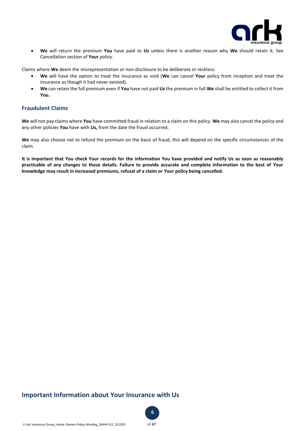

• **We** will return the premium **You** have paid to **Us** unless there is another reason why **We** should retain it. See Cancellation section of **Your** policy.

Claims where **We** deem the misrepresentation or non-disclosure to be deliberate or reckless:

- **We** will have the option to treat the insurance as void (**We** can cancel **Your** policy from inception and treat the insurance as though it had never existed).
- **We** can retain the full premium even if **You** have not paid **Us** the premium in full **We** shall be entitled to collect it from **You.**

# **Fraudulent Claims**

**We** will not pay claims where **You** have committed fraud in relation to a claim on this policy. **We** may also cancel the policy and any other policies **You** have with **Us,** from the date the fraud occurred.

**We** may also choose not to refund the premium on the basis of fraud, this will depend on the specific circumstances of the claim.

**It is important that You check Your records for the information You have provided and notify Us as soon as reasonably practicable of any changes to these details. Failure to provide accurate and complete information to the best of Your knowledge may result in increased premiums, refusal of a claim or Your policy being cancelled.** 

# **Important Information about Your Insurance with Us**

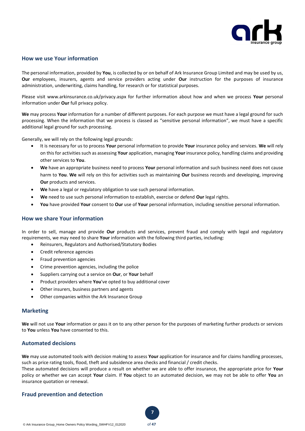

# **How we use Your information**

The personal information, provided by **You**, is collected by or on behalf of Ark Insurance Group Limited and may be used by us, **Our** employees, insurers, agents and service providers acting under **Our** instruction for the purposes of insurance administration, underwriting, claims handling, for research or for statistical purposes.

Please visit www.arkinsurance.co.uk/privacy.aspx for further information about how and when we process **Your** personal information under **Our** full privacy policy.

**We** may process **Your** information for a number of different purposes. For each purpose we must have a legal ground for such processing. When the information that we process is classed as "sensitive personal information", we must have a specific additional legal ground for such processing.

Generally, we will rely on the following legal grounds:

- It is necessary for us to process **Your** personal information to provide **Your** insurance policy and services. **We** will rely on this for activities such as assessing **Your** application, managing **Your** insurance policy, handling claims and providing other services to **You**.
- **We** have an appropriate business need to process **Your** personal information and such business need does not cause harm to **You**. **We** will rely on this for activities such as maintaining **Our** business records and developing, improving **Our** products and services.
- **We** have a legal or regulatory obligation to use such personal information.
- **We** need to use such personal information to establish, exercise or defend **Our** legal rights.
- **You** have provided **Your** consent to **Our** use of **Your** personal information, including sensitive personal information.

# **How we share Your information**

In order to sell, manage and provide **Our** products and services, prevent fraud and comply with legal and regulatory requirements, we may need to share **Your** information with the following third parties, including:

- Reinsurers, Regulators and Authorised/Statutory Bodies
- Credit reference agencies
- Fraud prevention agencies
- Crime prevention agencies, including the police
- Suppliers carrying out a service on **Our**, or **Your** behalf
- Product providers where **You**'ve opted to buy additional cover
- Other insurers, business partners and agents
- Other companies within the Ark Insurance Group

# **Marketing**

**We** will not use **Your** information or pass it on to any other person for the purposes of marketing further products or services to **You** unless **You** have consented to this.

# **Automated decisions**

**We** may use automated tools with decision making to assess **Your** application for insurance and for claims handling processes, such as price rating tools, flood, theft and subsidence area checks and financial / credit checks.

These automated decisions will produce a result on whether we are able to offer insurance, the appropriate price for **Your** policy or whether we can accept **Your** claim. If **You** object to an automated decision, we may not be able to offer **You** an insurance quotation or renewal.

# **Fraud prevention and detection**

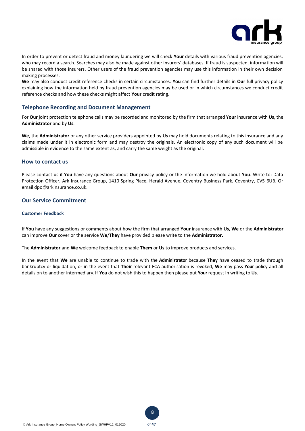

In order to prevent or detect fraud and money laundering we will check **Your** details with various fraud prevention agencies, who may record a search. Searches may also be made against other insurers' databases. If fraud is suspected, information will be shared with those insurers. Other users of the fraud prevention agencies may use this information in their own decision making processes.

**We** may also conduct credit reference checks in certain circumstances. **You** can find further details in **Our** full privacy policy explaining how the information held by fraud prevention agencies may be used or in which circumstances we conduct credit reference checks and how these checks might affect **Your** credit rating.

# **Telephone Recording and Document Management**

For **Our** joint protection telephone calls may be recorded and monitored by the firm that arranged **Your** insurance with **Us**, the **Administrator** and by **Us**.

**We**, the **Administrator** or any other service providers appointed by **Us** may hold documents relating to this insurance and any claims made under it in electronic form and may destroy the originals. An electronic copy of any such document will be admissible in evidence to the same extent as, and carry the same weight as the original.

## **How to contact us**

Please contact us if **You** have any questions about **Our** privacy policy or the information we hold about **You**. Write to: Data Protection Officer, Ark Insurance Group, 1410 Spring Place, Herald Avenue, Coventry Business Park, Coventry, CV5 6UB. Or email dpo@arkinsurance.co.uk.

# **Our Service Commitment**

#### **Customer Feedback**

If **You** have any suggestions or comments about how the firm that arranged **Your** insurance with **Us, We** or the **Administrator** can improve **Our** cover or the service **We**/**They** have provided please write to the **Administrator.**

The **Administrator** and **We** welcome feedback to enable **Them** or **Us** to improve products and services.

In the event that **We** are unable to continue to trade with the **Administrator** because **They** have ceased to trade through bankruptcy or liquidation, or in the event that **Their** relevant FCA authorisation is revoked, **We** may pass **Your** policy and all details on to another intermediary. If **You** do not wish this to happen then please put **Your** request in writing to **Us**.



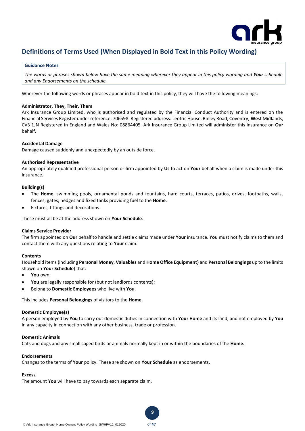

# **Definitions of Terms Used (When Displayed in Bold Text in this Policy Wording)**

#### **Guidance Notes**

*The words or phrases shown below have the same meaning wherever they appear in this policy wording and Your schedule and any Endorsements on the schedule.* 

Wherever the following words or phrases appear in bold text in this policy, they will have the following meanings:

## **Administrator, They, Their, Them**

Ark Insurance Group Limited, who is authorised and regulated by the Financial Conduct Authority and is entered on the Financial Services Register under reference: 706598. Registered address: Leofric House, Binley Road, Coventry, **We**st Midlands, CV3 1JN Registered in England and Wales No: 08864405. Ark Insurance Group Limited will administer this insurance on **Our** behalf.

## **Accidental Damage**

Damage caused suddenly and unexpectedly by an outside force.

## **Authorised Representative**

An appropriately qualified professional person or firm appointed by **Us** to act on **Your** behalf when a claim is made under this insurance.

# **Building(s)**

- The **Home**, swimming pools, ornamental ponds and fountains, hard courts, terraces, patios, drives, footpaths, walls, fences, gates, hedges and fixed tanks providing fuel to the **Home**.
- Fixtures, fittings and decorations.

These must all be at the address shown on **Your Schedule**.

#### **Claims Service Provider**

The firm appointed on **Our** behalf to handle and settle claims made under **Your** insurance. **You** must notify claims to them and contact them with any questions relating to **Your** claim.

#### **Contents**

Household items (including **Personal Money**, **Valuables** and **Home Office Equipment)** and **Personal Belongings** up to the limits shown on **Your Schedule**) that:

- **You** own;
- You are legally responsible for (but not landlords contents);
- Belong to **Domestic Employees** who live with **You**.

This includes **Personal Belongings** of visitors to the **Home.**

#### **Domestic Employee(s)**

A person employed by **You** to carry out domestic duties in connection with **Your Home** and its land, and not employed by **You** in any capacity in connection with any other business, trade or profession.

**9**

#### **Domestic Animals**

Cats and dogs and any small caged birds or animals normally kept in or within the boundaries of the **Home.**

### **Endorsements**

Changes to the terms of **Your** policy. These are shown on **Your Schedule** as endorsements.

# **Excess**

The amount **You** will have to pay towards each separate claim.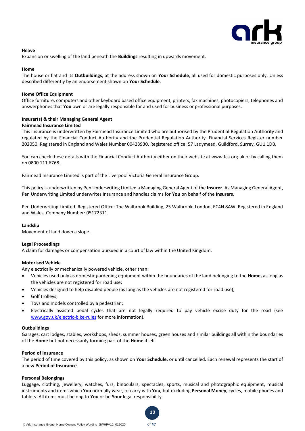

### **Heave**

Expansion or swelling of the land beneath the **Buildings** resulting in upwards movement.

### **Home**

The house or flat and its **Outbuildings**, at the address shown on **Your Schedule**, all used for domestic purposes only. Unless described differently by an endorsement shown on **Your Schedule**.

## **Home Office Equipment**

Office furniture, computers and other keyboard based office equipment, printers, fax machines, photocopiers, telephones and answerphones that **You** own or are legally responsible for and used for business or professional purposes.

# **Insurer(s) & their Managing General Agent**

# **Fairmead Insurance Limited**

This insurance is underwritten by Fairmead Insurance Limited who are authorised by the Prudential Regulation Authority and regulated by the Financial Conduct Authority and the Prudential Regulation Authority. Financial Services Register number 202050. Registered in England and Wales Number 00423930. Registered office: 57 Ladymead, Guildford, Surrey, GU1 1DB.

You can check these details with the Financial Conduct Authority either on their website at www.fca.org.uk or by calling them on 0800 111 6768.

Fairmead Insurance Limited is part of the Liverpool Victoria General Insurance Group.

This policy is underwritten by Pen Underwriting Limited a Managing General Agent of the **Insurer**. As Managing General Agent, Pen Underwriting Limited underwrites Insurance and handles claims for **You** on behalf of the **Insurers**.

Pen Underwriting Limited. Registered Office: The Walbrook Building, 25 Walbrook, London, EC4N 8AW. Registered in England and Wales. Company Number: 05172311

#### **Landslip**

Movement of land down a slope.

#### **Legal Proceedings**

A claim for damages or compensation pursued in a court of law within the United Kingdom.

# **Motorised Vehicle**

Any electrically or mechanically powered vehicle, other than:

- Vehicles used only as domestic gardening equipment within the boundaries of the land belonging to the **Home,** as long as the vehicles are not registered for road use;
- Vehicles designed to help disabled people (as long as the vehicles are not registered for road use);
- Golf trolleys;
- Toys and models controlled by a pedestrian;
- Electrically assisted pedal cycles that are not legally required to pay vehicle excise duty for the road (see [www.gov.uk/electric-bike-rules](http://www.gov.uk/electric-bike-rules) for more information).

#### **Outbuildings**

Garages, cart lodges, stables, workshops, sheds, summer houses, green houses and similar buildings all within the boundaries of the **Home** but not necessarily forming part of the **Home** itself.

#### **Period of Insurance**

The period of time covered by this policy, as shown on **Your Schedule**, or until cancelled. Each renewal represents the start of a new **Period of Insurance**.

### **Personal Belongings**

Luggage, clothing, jewellery, watches, furs, binoculars, spectacles, sports, musical and photographic equipment, musical instruments and items which **You** normally wear, or carry with **You,** but excluding **Personal Money**, cycles, mobile phones and tablets. All items must belong to **You** or be **Your** legal responsibility.

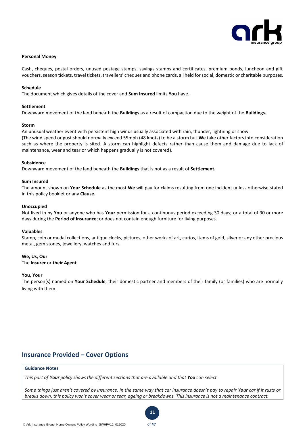

### **Personal Money**

Cash, cheques, postal orders, unused postage stamps, savings stamps and certificates, premium bonds, luncheon and gift vouchers, season tickets, travel tickets, travellers' cheques and phone cards, all held for social, domestic or charitable purposes.

### **Schedule**

The document which gives details of the cover and **Sum Insured** limits **You** have.

### **Settlement**

Downward movement of the land beneath the **Buildings** as a result of compaction due to the weight of the **Buildings.** 

#### **Storm**

An unusual weather event with persistent high winds usually associated with rain, thunder, lightning or snow. (The wind speed or gust should normally exceed 55mph (48 knots) to be a storm but **We** take other factors into consideration such as where the property is sited. A storm can highlight defects rather than cause them and damage due to lack of maintenance, wear and tear or which happens gradually is not covered).

## **Subsidence**

Downward movement of the land beneath the **Buildings** that is not as a result of **Settlement.** 

## **Sum Insured**

The amount shown on **Your Schedule** as the most **We** will pay for claims resulting from one incident unless otherwise stated in this policy booklet or any **Clause.**

## **Unoccupied**

Not lived in by **You** or anyone who has **Your** permission for a continuous period exceeding 30 days; or a total of 90 or more days during the **Period of Insurance**; or does not contain enough furniture for living purposes.

#### **Valuables**

Stamp, coin or medal collections, antique clocks, pictures, other works of art, curios, items of gold, silver or any other precious metal, gem stones, jewellery, watches and furs.

# **We, Us, Our**

The **Insurer** or **their Agent**

## **You, Your**

The person(s) named on **Your Schedule**, their domestic partner and members of their family (or families) who are normally living with them.

# **Insurance Provided – Cover Options**

# **Guidance Notes**

*This part of Your policy shows the different sections that are available and that You can select.*

*Some things just aren't covered by insurance. In the same way that car insurance doesn't pay to repair Your car if it rusts or breaks down, this policy won't cover wear or tear, ageing or breakdowns. This insurance is not a maintenance contract.*

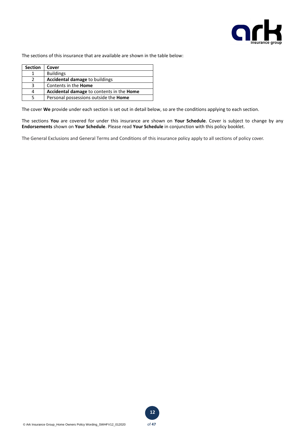

The sections of this insurance that are available are shown in the table below:

| <b>Section</b> | Cover                                     |
|----------------|-------------------------------------------|
|                | <b>Buildings</b>                          |
|                | <b>Accidental damage to buildings</b>     |
| 3              | Contents in the <b>Home</b>               |
| 4              | Accidental damage to contents in the Home |
| ς              | Personal possessions outside the Home     |

The cover **We** provide under each section is set out in detail below, so are the conditions applying to each section.

The sections **You** are covered for under this insurance are shown on **Your Schedule**. Cover is subject to change by any **Endorsements** shown on **Your Schedule**. Please read **Your Schedule** in conjunction with this policy booklet.

The General Exclusions and General Terms and Conditions of this insurance policy apply to all sections of policy cover.

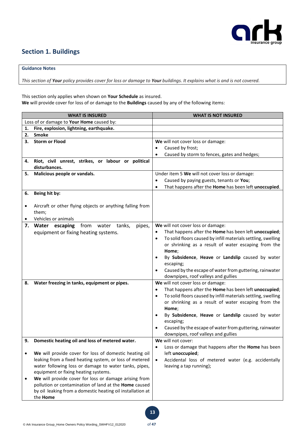

# **Section 1. Buildings**

# **Guidance Notes**

*This section of Your policy provides cover for loss or damage to Your buildings. It explains what is and is not covered.* 

This section only applies when shown on **Your Schedule** as insured. **We** will provide cover for loss of or damage to the **Buildings** caused by any of the following items:

|    | <b>WHAT IS INSURED</b>                                               | <b>WHAT IS NOT INSURED</b>                                                 |
|----|----------------------------------------------------------------------|----------------------------------------------------------------------------|
|    | Loss of or damage to Your Home caused by:                            |                                                                            |
| 1. | Fire, explosion, lightning, earthquake.                              |                                                                            |
| 2. | <b>Smoke</b>                                                         |                                                                            |
| 3. | <b>Storm or Flood</b>                                                | We will not cover loss or damage:                                          |
|    |                                                                      | Caused by frost;<br>$\bullet$                                              |
|    |                                                                      | Caused by storm to fences, gates and hedges;<br>$\bullet$                  |
| 4. | Riot, civil unrest, strikes, or labour or political<br>disturbances. |                                                                            |
| 5. | Malicious people or vandals.                                         | Under item 5 We will not cover loss or damage:                             |
|    |                                                                      | Caused by paying guests, tenants or You;<br>٠                              |
|    |                                                                      | That happens after the Home has been left unoccupied.<br>$\bullet$         |
| 6. | Being hit by:                                                        |                                                                            |
|    | Aircraft or other flying objects or anything falling from<br>them;   |                                                                            |
|    | Vehicles or animals                                                  |                                                                            |
|    | 7. Water escaping<br>from water tanks,<br>pipes,                     | We will not cover loss or damage:                                          |
|    | equipment or fixing heating systems.                                 | That happens after the Home has been left unoccupied;<br>٠                 |
|    |                                                                      | To solid floors caused by infill materials settling, swelling<br>$\bullet$ |
|    |                                                                      | or shrinking as a result of water escaping from the                        |
|    |                                                                      | Home;                                                                      |
|    |                                                                      | By Subsidence, Heave or Landslip caused by water<br>٠                      |
|    |                                                                      | escaping;                                                                  |
|    |                                                                      | Caused by the escape of water from guttering, rainwater                    |
|    |                                                                      | downpipes, roof valleys and gullies                                        |
| 8. | Water freezing in tanks, equipment or pipes.                         | We will not cover loss or damage:                                          |
|    |                                                                      | That happens after the Home has been left unoccupied;<br>٠                 |
|    |                                                                      | To solid floors caused by infill materials settling, swelling<br>$\bullet$ |
|    |                                                                      | or shrinking as a result of water escaping from the                        |
|    |                                                                      | Home;                                                                      |
|    |                                                                      | By Subsidence, Heave or Landslip caused by water<br>٠                      |
|    |                                                                      | escaping;                                                                  |
|    |                                                                      | Caused by the escape of water from guttering, rainwater                    |
|    | Domestic heating oil and loss of metered water.                      | downpipes, roof valleys and gullies<br>We will not cover:                  |
| э. |                                                                      | Loss or damage that happens after the Home has been<br>$\bullet$           |
|    | We will provide cover for loss of domestic heating oil               | left unoccupied;                                                           |
|    | leaking from a fixed heating system, or loss of metered              | Accidental loss of metered water (e.g. accidentally<br>$\bullet$           |
|    | water following loss or damage to water tanks, pipes,                | leaving a tap running);                                                    |
|    | equipment or fixing heating systems.                                 |                                                                            |
|    | We will provide cover for loss or damage arising from                |                                                                            |
|    | pollution or contamination of land at the Home caused                |                                                                            |
|    | by oil leaking from a domestic heating oil installation at           |                                                                            |
|    | the <b>Home</b>                                                      |                                                                            |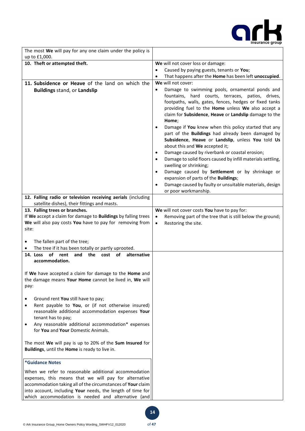

| The most We will pay for any one claim under the policy is<br>up to £1,000.                                      |                                                                                                              |
|------------------------------------------------------------------------------------------------------------------|--------------------------------------------------------------------------------------------------------------|
| 10. Theft or attempted theft.                                                                                    | We will not cover loss or damage:                                                                            |
|                                                                                                                  | Caused by paying guests, tenants or You;<br>$\bullet$                                                        |
|                                                                                                                  | That happens after the Home has been left unoccupied.<br>$\bullet$                                           |
| 11. Subsidence or Heave of the land on which the                                                                 | We will not cover:                                                                                           |
| <b>Buildings stand, or Landslip</b>                                                                              | Damage to swimming pools, ornamental ponds and<br>$\bullet$                                                  |
|                                                                                                                  | fountains, hard courts, terraces, patios, drives,                                                            |
|                                                                                                                  | footpaths, walls, gates, fences, hedges or fixed tanks<br>providing fuel to the Home unless We also accept a |
|                                                                                                                  | claim for Subsidence, Heave or Landslip damage to the                                                        |
|                                                                                                                  | Home;                                                                                                        |
|                                                                                                                  | Damage if You knew when this policy started that any<br>$\bullet$                                            |
|                                                                                                                  | part of the Buildings had already been damaged by                                                            |
|                                                                                                                  | Subsidence, Heave or Landslip, unless You told Us                                                            |
|                                                                                                                  | about this and We accepted it;<br>Damage caused by riverbank or coastal erosion;<br>$\bullet$                |
|                                                                                                                  | Damage to solid floors caused by infill materials settling,<br>$\bullet$                                     |
|                                                                                                                  | swelling or shrinking;                                                                                       |
|                                                                                                                  | Damage caused by Settlement or by shrinkage or<br>$\bullet$                                                  |
|                                                                                                                  | expansion of parts of the Buildings;                                                                         |
|                                                                                                                  | Damage caused by faulty or unsuitable materials, design<br>$\bullet$                                         |
|                                                                                                                  | or poor workmanship.                                                                                         |
| 12. Falling radio or television receiving aerials (including<br>satellite dishes), their fittings and masts.     |                                                                                                              |
| 13. Falling trees or branches.                                                                                   | We will not cover costs You have to pay for:                                                                 |
| If We accept a claim for damage to Buildings by falling trees                                                    | Removing part of the tree that is still below the ground;<br>$\bullet$                                       |
| We will also pay costs You have to pay for removing from                                                         | Restoring the site.<br>$\bullet$                                                                             |
| site:                                                                                                            |                                                                                                              |
| The fallen part of the tree;<br>٠                                                                                |                                                                                                              |
| The tree if it has been totally or partly uprooted.<br>$\bullet$                                                 |                                                                                                              |
| <b>of</b><br>rent<br>alternative<br>14. Loss<br>and<br>the<br>cost of                                            |                                                                                                              |
| accommodation.                                                                                                   |                                                                                                              |
|                                                                                                                  |                                                                                                              |
| If We have accepted a claim for damage to the Home and                                                           |                                                                                                              |
| the damage means Your Home cannot be lived in, We will                                                           |                                                                                                              |
| pay:                                                                                                             |                                                                                                              |
| Ground rent You still have to pay;<br>$\bullet$                                                                  |                                                                                                              |
| Rent payable to You, or (if not otherwise insured)<br>$\bullet$                                                  |                                                                                                              |
| reasonable additional accommodation expenses Your                                                                |                                                                                                              |
| tenant has to pay;                                                                                               |                                                                                                              |
| Any reasonable additional accommodation* expenses<br>$\bullet$                                                   |                                                                                                              |
| for You and Your Domestic Animals.                                                                               |                                                                                                              |
| The most We will pay is up to 20% of the Sum Insured for                                                         |                                                                                                              |
| Buildings, until the Home is ready to live in.                                                                   |                                                                                                              |
|                                                                                                                  |                                                                                                              |
| *Guidance Notes                                                                                                  |                                                                                                              |
| When we refer to reasonable additional accommodation                                                             |                                                                                                              |
| expenses, this means that we will pay for alternative                                                            |                                                                                                              |
| accommodation taking all of the circumstances of Your claim                                                      |                                                                                                              |
| into account, including Your needs, the length of time for<br>which accommodation is needed and alternative (and |                                                                                                              |
|                                                                                                                  |                                                                                                              |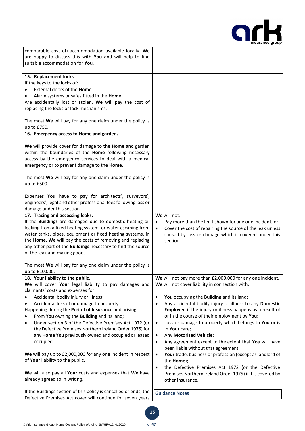

| comparable cost of) accommodation available locally. We<br>are happy to discuss this with You and will help to find<br>suitable accommodation for You.                                                                                                                                                                                                                                                                                                                                                                                                                                                                                                                                                                   |                                                                                                                                                                                                                                                                                                                                                                                                                                                                                                                                                                                                                                                                                                                                                                                                                                          |
|--------------------------------------------------------------------------------------------------------------------------------------------------------------------------------------------------------------------------------------------------------------------------------------------------------------------------------------------------------------------------------------------------------------------------------------------------------------------------------------------------------------------------------------------------------------------------------------------------------------------------------------------------------------------------------------------------------------------------|------------------------------------------------------------------------------------------------------------------------------------------------------------------------------------------------------------------------------------------------------------------------------------------------------------------------------------------------------------------------------------------------------------------------------------------------------------------------------------------------------------------------------------------------------------------------------------------------------------------------------------------------------------------------------------------------------------------------------------------------------------------------------------------------------------------------------------------|
| 15. Replacement locks<br>If the keys to the locks of:<br>External doors of the Home;<br>Alarm systems or safes fitted in the Home.<br>Are accidentally lost or stolen, We will pay the cost of<br>replacing the locks or lock mechanisms.<br>The most We will pay for any one claim under the policy is<br>up to £750.                                                                                                                                                                                                                                                                                                                                                                                                   |                                                                                                                                                                                                                                                                                                                                                                                                                                                                                                                                                                                                                                                                                                                                                                                                                                          |
| 16. Emergency access to Home and garden.                                                                                                                                                                                                                                                                                                                                                                                                                                                                                                                                                                                                                                                                                 |                                                                                                                                                                                                                                                                                                                                                                                                                                                                                                                                                                                                                                                                                                                                                                                                                                          |
| We will provide cover for damage to the Home and garden<br>within the boundaries of the Home following necessary<br>access by the emergency services to deal with a medical<br>emergency or to prevent damage to the Home.<br>The most We will pay for any one claim under the policy is<br>up to £500.<br>Expenses You have to pay for architects', surveyors',<br>engineers', legal and other professional fees following loss or<br>damage under this section.                                                                                                                                                                                                                                                        |                                                                                                                                                                                                                                                                                                                                                                                                                                                                                                                                                                                                                                                                                                                                                                                                                                          |
| 17. Tracing and accessing leaks.                                                                                                                                                                                                                                                                                                                                                                                                                                                                                                                                                                                                                                                                                         | We will not:                                                                                                                                                                                                                                                                                                                                                                                                                                                                                                                                                                                                                                                                                                                                                                                                                             |
| If the Buildings are damaged due to domestic heating oil<br>leaking from a fixed heating system, or water escaping from<br>water tanks, pipes, equipment or fixed heating systems, in<br>the Home, We will pay the costs of removing and replacing<br>any other part of the Buildings necessary to find the source<br>of the leak and making good.                                                                                                                                                                                                                                                                                                                                                                       | Pay more than the limit shown for any one incident; or<br>$\bullet$<br>Cover the cost of repairing the source of the leak unless<br>$\bullet$<br>caused by loss or damage which is covered under this<br>section.                                                                                                                                                                                                                                                                                                                                                                                                                                                                                                                                                                                                                        |
| The most We will pay for any one claim under the policy is<br>up to £10,000.                                                                                                                                                                                                                                                                                                                                                                                                                                                                                                                                                                                                                                             |                                                                                                                                                                                                                                                                                                                                                                                                                                                                                                                                                                                                                                                                                                                                                                                                                                          |
| 18. Your liability to the public.<br>We will cover Your legal liability to pay damages and<br>claimants' costs and expenses for:<br>Accidental bodily injury or illness;<br>Accidental loss of or damage to property;<br>Happening during the Period of Insurance and arising:<br>From You owning the Building and its land;<br>Under section 3 of the Defective Premises Act 1972 (or<br>the Defective Premises Northern Ireland Order 1975) for<br>any Home You previously owned and occupied or leased<br>occupied.<br>We will pay up to £2,000,000 for any one incident in respect<br>of Your liability to the public.<br>We will also pay all Your costs and expenses that We have<br>already agreed to in writing. | We will not pay more than £2,000,000 for any one incident.<br>We will not cover liability in connection with:<br>You occupying the Building and its land;<br>٠<br>Any accidental bodily injury or illness to any Domestic<br>٠<br>Employee if the injury or illness happens as a result of<br>or in the course of their employment by You;<br>Loss or damage to property which belongs to You or is<br>$\bullet$<br>in Your care;<br>Any Motorised Vehicle;<br>$\bullet$<br>Any agreement except to the extent that You will have<br>$\bullet$<br>been liable without that agreement;<br>Your trade, business or profession (except as landlord of<br>$\bullet$<br>the <b>Home</b> );<br>the Defective Premises Act 1972 (or the Defective<br>$\bullet$<br>Premises Northern Ireland Order 1975) if it is covered by<br>other insurance. |
| If the Buildings section of this policy is cancelled or ends, the<br>Defective Premises Act cover will continue for seven years                                                                                                                                                                                                                                                                                                                                                                                                                                                                                                                                                                                          | <b>Guidance Notes</b>                                                                                                                                                                                                                                                                                                                                                                                                                                                                                                                                                                                                                                                                                                                                                                                                                    |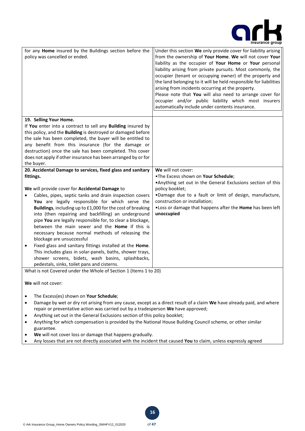

| for any Home insured by the Buildings section before the<br>policy was cancelled or ended.                                                                                                                                                                                                                                                                                                                                                                                                                                                                                                                                                                                                                                                                                                                        | Under this section We only provide cover for liability arising<br>from the ownership of Your Home. We will not cover Your<br>liability as the occupier of Your Home or Your personal<br>liability arising from private pursuits. Most commonly, the<br>occupier (tenant or occupying owner) of the property and<br>the land belonging to it will be held responsible for liabilities<br>arising from incidents occurring at the property.<br>Please note that You will also need to arrange cover for<br>occupier and/or public liability which most insurers<br>automatically include under contents insurance. |  |
|-------------------------------------------------------------------------------------------------------------------------------------------------------------------------------------------------------------------------------------------------------------------------------------------------------------------------------------------------------------------------------------------------------------------------------------------------------------------------------------------------------------------------------------------------------------------------------------------------------------------------------------------------------------------------------------------------------------------------------------------------------------------------------------------------------------------|------------------------------------------------------------------------------------------------------------------------------------------------------------------------------------------------------------------------------------------------------------------------------------------------------------------------------------------------------------------------------------------------------------------------------------------------------------------------------------------------------------------------------------------------------------------------------------------------------------------|--|
|                                                                                                                                                                                                                                                                                                                                                                                                                                                                                                                                                                                                                                                                                                                                                                                                                   |                                                                                                                                                                                                                                                                                                                                                                                                                                                                                                                                                                                                                  |  |
| 19. Selling Your Home.<br>If You enter into a contract to sell any Building insured by<br>this policy, and the Building is destroyed or damaged before<br>the sale has been completed, the buyer will be entitled to<br>any benefit from this insurance (for the damage or<br>destruction) once the sale has been completed. This cover<br>does not apply if other insurance has been arranged by or for<br>the buyer.                                                                                                                                                                                                                                                                                                                                                                                            |                                                                                                                                                                                                                                                                                                                                                                                                                                                                                                                                                                                                                  |  |
|                                                                                                                                                                                                                                                                                                                                                                                                                                                                                                                                                                                                                                                                                                                                                                                                                   |                                                                                                                                                                                                                                                                                                                                                                                                                                                                                                                                                                                                                  |  |
| 20. Accidental Damage to services, fixed glass and sanitary<br>fittings.<br>We will provide cover for Accidental Damage to<br>Cables, pipes, septic tanks and drain inspection covers<br>You are legally responsible for which serve the<br>Buildings, including up to £1,000 for the cost of breaking<br>into (then repairing and backfilling) an underground<br>pipe You are legally responsible for, to clear a blockage,<br>between the main sewer and the <b>Home</b> if this is<br>necessary because normal methods of releasing the<br>blockage are unsuccessful<br>Fixed glass and sanitary fittings installed at the Home.<br>$\bullet$<br>This includes glass in solar-panels, baths, shower trays,<br>shower screens, bidets, wash basins, splashbacks,<br>pedestals, sinks, toilet pans and cisterns. | We will not cover:<br>.The Excess shown on Your Schedule;<br>. Anything set out in the General Exclusions section of this<br>policy booklet;<br>.Damage due to a fault or limit of design, manufacture,<br>construction or installation;<br>. Loss or damage that happens after the Home has been left<br>unoccupied                                                                                                                                                                                                                                                                                             |  |
| What is not Covered under the Whole of Section 1 (Items 1 to 20)                                                                                                                                                                                                                                                                                                                                                                                                                                                                                                                                                                                                                                                                                                                                                  |                                                                                                                                                                                                                                                                                                                                                                                                                                                                                                                                                                                                                  |  |
| We will not cover:                                                                                                                                                                                                                                                                                                                                                                                                                                                                                                                                                                                                                                                                                                                                                                                                |                                                                                                                                                                                                                                                                                                                                                                                                                                                                                                                                                                                                                  |  |
| The Excess(es) shown on Your Schedule;                                                                                                                                                                                                                                                                                                                                                                                                                                                                                                                                                                                                                                                                                                                                                                            |                                                                                                                                                                                                                                                                                                                                                                                                                                                                                                                                                                                                                  |  |
| Damage by wet or dry rot arising from any cause, except as a direct result of a claim We have already paid, and where                                                                                                                                                                                                                                                                                                                                                                                                                                                                                                                                                                                                                                                                                             |                                                                                                                                                                                                                                                                                                                                                                                                                                                                                                                                                                                                                  |  |
| repair or preventative action was carried out by a tradesperson We have approved;                                                                                                                                                                                                                                                                                                                                                                                                                                                                                                                                                                                                                                                                                                                                 |                                                                                                                                                                                                                                                                                                                                                                                                                                                                                                                                                                                                                  |  |
| Anything set out in the General Exclusions section of this policy booklet;<br>٠                                                                                                                                                                                                                                                                                                                                                                                                                                                                                                                                                                                                                                                                                                                                   |                                                                                                                                                                                                                                                                                                                                                                                                                                                                                                                                                                                                                  |  |
| Anything for which compensation is provided by the National House Building Council scheme, or other similar<br>guarantee.                                                                                                                                                                                                                                                                                                                                                                                                                                                                                                                                                                                                                                                                                         |                                                                                                                                                                                                                                                                                                                                                                                                                                                                                                                                                                                                                  |  |
| We will not cover loss or damage that happens gradually.                                                                                                                                                                                                                                                                                                                                                                                                                                                                                                                                                                                                                                                                                                                                                          |                                                                                                                                                                                                                                                                                                                                                                                                                                                                                                                                                                                                                  |  |

• Any losses that are not directly associated with the incident that caused **You** to claim, unless expressly agreed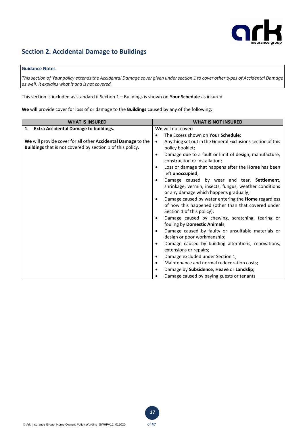

# **Section 2. Accidental Damage to Buildings**

# **Guidance Notes**

*This section of Your policy extends the Accidental Damage cover given under section 1 to cover other types of Accidental Damage as well. It explains what is and is not covered.* 

This section is included as standard if Section 1 – Buildings is shown on **Your Schedule** as insured.

**We** will provide cover for loss of or damage to the **Buildings** caused by any of the following:

| <b>WHAT IS INSURED</b>                                       | <b>WHAT IS NOT INSURED</b>                                              |
|--------------------------------------------------------------|-------------------------------------------------------------------------|
| <b>Extra Accidental Damage to buildings.</b><br>1.           | We will not cover:                                                      |
|                                                              | The Excess shown on Your Schedule;<br>$\bullet$                         |
| We will provide cover for all other Accidental Damage to the | Anything set out in the General Exclusions section of this<br>$\bullet$ |
| Buildings that is not covered by section 1 of this policy.   | policy booklet;                                                         |
|                                                              | Damage due to a fault or limit of design, manufacture,<br>$\bullet$     |
|                                                              | construction or installation;                                           |
|                                                              | Loss or damage that happens after the <b>Home</b> has been<br>$\bullet$ |
|                                                              | left unoccupied;                                                        |
|                                                              | Damage caused by wear and tear, Settlement,<br>$\bullet$                |
|                                                              | shrinkage, vermin, insects, fungus, weather conditions                  |
|                                                              | or any damage which happens gradually;                                  |
|                                                              | Damage caused by water entering the Home regardless<br>$\bullet$        |
|                                                              | of how this happened (other than that covered under                     |
|                                                              | Section 1 of this policy);                                              |
|                                                              | Damage caused by chewing, scratching, tearing or<br>$\bullet$           |
|                                                              | fouling by Domestic Animals;                                            |
|                                                              | Damage caused by faulty or unsuitable materials or<br>$\bullet$         |
|                                                              | design or poor workmanship;                                             |
|                                                              | Damage caused by building alterations, renovations,<br>$\bullet$        |
|                                                              | extensions or repairs;                                                  |
|                                                              | Damage excluded under Section 1;<br>$\bullet$                           |
|                                                              | Maintenance and normal redecoration costs;<br>$\bullet$                 |
|                                                              | Damage by Subsidence, Heave or Landslip;<br>$\bullet$                   |
|                                                              | Damage caused by paying guests or tenants                               |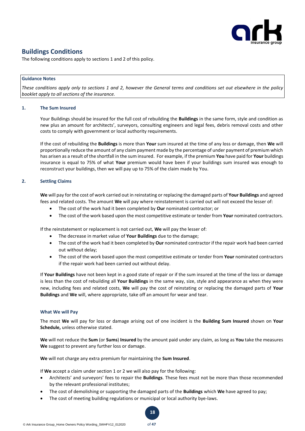

# **Buildings Conditions**

The following conditions apply to sections 1 and 2 of this policy.

### **Guidance Notes**

*These conditions apply only to sections 1 and 2, however the General terms and conditions set out elsewhere in the policy booklet apply to all sections of the insurance.* 

## **1. The Sum Insured**

Your Buildings should be insured for the full cost of rebuilding the **Buildings** in the same form, style and condition as new plus an amount for architects', surveyors, consulting engineers and legal fees, debris removal costs and other costs to comply with government or local authority requirements.

If the cost of rebuilding the **Buildings** is more than **Your** sum insured at the time of any loss or damage, then **We** will proportionally reduce the amount of any claim payment made by the percentage of under payment of premium which has arisen as a result of the shortfall in the sum insured. For example, if the premium **You** have paid for **Your** buildings insurance is equal to 75% of what **Your** premium would have been if your buildings sum insured was enough to reconstruct your buildings, then we will pay up to 75% of the claim made by You.

# **2. Settling Claims**

**We** will pay for the cost of work carried out in reinstating or replacing the damaged parts of **Your Buildings** and agreed fees and related costs. The amount **We** will pay where reinstatement is carried out will not exceed the lesser of:

- The cost of the work had it been completed by **Our** nominated contractor; or
- The cost of the work based upon the most competitive estimate or tender from **Your** nominated contractors.

If the reinstatement or replacement is not carried out, **We** will pay the lesser of:

- The decrease in market value of **Your Buildings** due to the damage;
- The cost of the work had it been completed by **Our** nominated contractor if the repair work had been carried out without delay;
- The cost of the work based upon the most competitive estimate or tender from **Your** nominated contractors if the repair work had been carried out without delay.

If **Your Buildings** have not been kept in a good state of repair or if the sum insured at the time of the loss or damage is less than the cost of rebuilding all **Your Buildings** in the same way, size, style and appearance as when they were new, including fees and related costs, **We** will pay the cost of reinstating or replacing the damaged parts of **Your Buildings** and **We** will, where appropriate, take off an amount for wear and tear.

# **What We will Pay**

The most **We** will pay for loss or damage arising out of one incident is the **Building Sum Insured** shown on **Your Schedule,** unless otherwise stated.

**We** will not reduce the **Sum** (or **Sums**) **Insured** by the amount paid under any claim, as long as **You** take the measures **We** suggest to prevent any further loss or damage.

**We** will not charge any extra premium for maintaining the **Sum Insured**.

If **We** accept a claim under section 1 or 2 we will also pay for the following:

- Architects' and surveyors' fees to repair the **Buildings**. These fees must not be more than those recommended by the relevant professional institutes;
- The cost of demolishing or supporting the damaged parts of the **Buildings** which **We** have agreed to pay;
- The cost of meeting building regulations or municipal or local authority bye-laws.

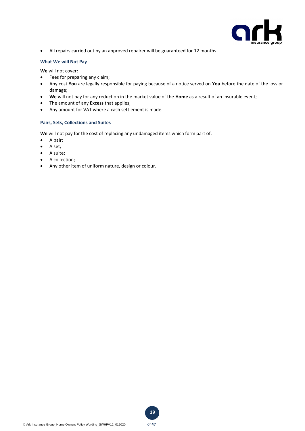

• All repairs carried out by an approved repairer will be guaranteed for 12 months

# **What We will Not Pay**

**We** will not cover:

- Fees for preparing any claim;
- Any cost **You** are legally responsible for paying because of a notice served on **You** before the date of the loss or damage;
- **We** will not pay for any reduction in the market value of the **Home** as a result of an insurable event;
- The amount of any **Excess** that applies;
- Any amount for VAT where a cash settlement is made.

# **Pairs, Sets, Collections and Suites**

**We** will not pay for the cost of replacing any undamaged items which form part of:

- A pair;
- A set;
- A suite;
- A collection;
- Any other item of uniform nature, design or colour.

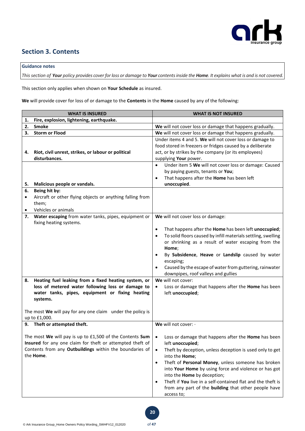

# **Section 3. Contents**

# **Guidance notes**

*This section of Your policy provides cover for loss or damage to Your contents inside the Home. It explains what is and is not covered.* 

This section only applies when shown on **Your Schedule** as insured.

**We** will provide cover for loss of or damage to the **Contents** in the **Home** caused by any of the following:

|                        | <b>WHAT IS INSURED</b>                                                                                                                                                                                                                 | <b>WHAT IS NOT INSURED</b>                                                                                                                                                                                                                                                                                                                                                                                                                                                                                                  |
|------------------------|----------------------------------------------------------------------------------------------------------------------------------------------------------------------------------------------------------------------------------------|-----------------------------------------------------------------------------------------------------------------------------------------------------------------------------------------------------------------------------------------------------------------------------------------------------------------------------------------------------------------------------------------------------------------------------------------------------------------------------------------------------------------------------|
| 1.                     | Fire, explosion, lightening, earthquake.                                                                                                                                                                                               |                                                                                                                                                                                                                                                                                                                                                                                                                                                                                                                             |
| 2.                     | Smoke                                                                                                                                                                                                                                  | We will not cover loss or damage that happens gradually.                                                                                                                                                                                                                                                                                                                                                                                                                                                                    |
| З.                     | <b>Storm or Flood</b>                                                                                                                                                                                                                  | We will not cover loss or damage that happens gradually.                                                                                                                                                                                                                                                                                                                                                                                                                                                                    |
| 4.                     | Riot, civil unrest, strikes, or labour or political<br>disturbances.                                                                                                                                                                   | Under items 4 and 5. We will not cover loss or damage to<br>food stored in freezers or fridges caused by a deliberate<br>act, or by strikes by the company (or its employees)<br>supplying Your power.                                                                                                                                                                                                                                                                                                                      |
| 5.                     | Malicious people or vandals.                                                                                                                                                                                                           | Under item 5 We will not cover loss or damage: Caused<br>$\bullet$<br>by paying guests, tenants or You;<br>That happens after the Home has been left<br>$\bullet$<br>unoccupied.                                                                                                                                                                                                                                                                                                                                            |
| 6.                     | Being hit by:                                                                                                                                                                                                                          |                                                                                                                                                                                                                                                                                                                                                                                                                                                                                                                             |
| $\bullet$<br>$\bullet$ | Aircraft or other flying objects or anything falling from<br>them;<br>Vehicles or animals                                                                                                                                              |                                                                                                                                                                                                                                                                                                                                                                                                                                                                                                                             |
| 7.                     | Water escaping from water tanks, pipes, equipment or<br>fixing heating systems.                                                                                                                                                        | We will not cover loss or damage:                                                                                                                                                                                                                                                                                                                                                                                                                                                                                           |
| 8.                     | Heating fuel leaking from a fixed heating system, or<br>loss of metered water following loss or damage to<br>water tanks, pipes, equipment or fixing heating<br>systems.<br>The most We will pay for any one claim under the policy is | That happens after the Home has been left unoccupied;<br>$\bullet$<br>To solid floors caused by infill materials settling, swelling<br>$\bullet$<br>or shrinking as a result of water escaping from the<br>Home;<br>By Subsidence, Heave or Landslip caused by water<br>$\bullet$<br>escaping;<br>Caused by the escape of water from guttering, rainwater<br>$\bullet$<br>downpipes, roof valleys and gullies<br>We will not cover:<br>Loss or damage that happens after the Home has been<br>$\bullet$<br>left unoccupied; |
|                        | up to £1,000.                                                                                                                                                                                                                          |                                                                                                                                                                                                                                                                                                                                                                                                                                                                                                                             |
| 9.                     | Theft or attempted theft.                                                                                                                                                                                                              | We will not cover: .                                                                                                                                                                                                                                                                                                                                                                                                                                                                                                        |
|                        | The most We will pay is up to £1,500 of the Contents Sum<br>Insured for any one claim for theft or attempted theft of<br>Contents from any Outbuildings within the boundaries of<br>the Home.                                          | Loss or damage that happens after the Home has been<br>left unoccupied;<br>Theft by deception, unless deception is used only to get<br>$\bullet$<br>into the Home;<br>Theft of Personal Money, unless someone has broken<br>$\bullet$<br>into Your Home by using force and violence or has got<br>into the Home by deception;<br>Theft if You live in a self-contained flat and the theft is<br>$\bullet$<br>from any part of the building that other people have<br>access to;                                             |

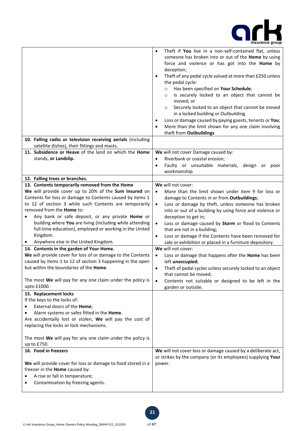

|                                                                                                              | Theft if You live in a non-self-contained flat, unless<br>$\bullet$<br>someone has broken into or out of the Home by using<br>force and violence or has got into the Home by<br>deception;<br>Theft of any pedal cycle valued at more than £250 unless<br>the pedal cycle:<br>Has been specified on Your Schedule;<br>$\circ$<br>Is securely locked to an object that cannot be<br>$\circ$<br>moved; or<br>Securely locked to an object that cannot be moved<br>$\circ$<br>in a locked building or Outbuilding.<br>Loss or damage caused by paying guests, tenants or You;<br>$\bullet$<br>More than the limit shown for any one claim involving<br>$\bullet$<br>theft from Outbuildings |
|--------------------------------------------------------------------------------------------------------------|------------------------------------------------------------------------------------------------------------------------------------------------------------------------------------------------------------------------------------------------------------------------------------------------------------------------------------------------------------------------------------------------------------------------------------------------------------------------------------------------------------------------------------------------------------------------------------------------------------------------------------------------------------------------------------------|
| 10. Falling radio or television receiving aerials (including<br>satellite dishes), their fittings and masts. |                                                                                                                                                                                                                                                                                                                                                                                                                                                                                                                                                                                                                                                                                          |
| 11. Subsidence or Heave of the land on which the Home                                                        | We will not cover Damage caused by:                                                                                                                                                                                                                                                                                                                                                                                                                                                                                                                                                                                                                                                      |
| stands, or Landslip.                                                                                         | Riverbank or coastal erosion;<br>$\bullet$                                                                                                                                                                                                                                                                                                                                                                                                                                                                                                                                                                                                                                               |
|                                                                                                              | Faulty or unsuitable materials, design or poor<br>$\bullet$                                                                                                                                                                                                                                                                                                                                                                                                                                                                                                                                                                                                                              |
|                                                                                                              | workmanship                                                                                                                                                                                                                                                                                                                                                                                                                                                                                                                                                                                                                                                                              |
| 12. Falling trees or branches.                                                                               |                                                                                                                                                                                                                                                                                                                                                                                                                                                                                                                                                                                                                                                                                          |
| 13. Contents temporarily removed from the Home                                                               | We will not cover:                                                                                                                                                                                                                                                                                                                                                                                                                                                                                                                                                                                                                                                                       |
| We will provide cover up to 20% of the Sum Insured on                                                        | More than the limit shown under item 9 for loss or<br>$\bullet$                                                                                                                                                                                                                                                                                                                                                                                                                                                                                                                                                                                                                          |
| Contents for loss or damage to Contents caused by items 1                                                    | damage to Contents in or from Outbuildings;                                                                                                                                                                                                                                                                                                                                                                                                                                                                                                                                                                                                                                              |
| to 12 of section 3 while such Contents are temporarily                                                       | Loss or damage by theft, unless someone has broken<br>$\bullet$                                                                                                                                                                                                                                                                                                                                                                                                                                                                                                                                                                                                                          |
| removed from the <b>Home</b> to:                                                                             | into or out of a building by using force and violence or                                                                                                                                                                                                                                                                                                                                                                                                                                                                                                                                                                                                                                 |
| Any bank or safe deposit, or any private Home or                                                             | deception to get in;                                                                                                                                                                                                                                                                                                                                                                                                                                                                                                                                                                                                                                                                     |
| building where You are living (including while attending                                                     | Loss or damage caused by Storm or flood to Contents<br>$\bullet$                                                                                                                                                                                                                                                                                                                                                                                                                                                                                                                                                                                                                         |
| full-time education), employed or working in the United                                                      | that are not in a building;                                                                                                                                                                                                                                                                                                                                                                                                                                                                                                                                                                                                                                                              |
| Kingdom.                                                                                                     | Loss or damage if the Contents have been removed for<br>$\bullet$                                                                                                                                                                                                                                                                                                                                                                                                                                                                                                                                                                                                                        |
|                                                                                                              | sale or exhibition or placed in a furniture depository.                                                                                                                                                                                                                                                                                                                                                                                                                                                                                                                                                                                                                                  |
| Anywhere else in the United Kingdom.                                                                         |                                                                                                                                                                                                                                                                                                                                                                                                                                                                                                                                                                                                                                                                                          |
| 14. Contents in the garden of Your Home.                                                                     | We will not cover:                                                                                                                                                                                                                                                                                                                                                                                                                                                                                                                                                                                                                                                                       |
| We will provide cover for loss of or damage to the Contents                                                  | Loss or damage that happens after the Home has been<br>$\bullet$                                                                                                                                                                                                                                                                                                                                                                                                                                                                                                                                                                                                                         |
| caused by items 1 to 12 of section 3 happening in the open                                                   | left unoccupied;                                                                                                                                                                                                                                                                                                                                                                                                                                                                                                                                                                                                                                                                         |
| but within the boundaries of the Home.                                                                       | Theft of pedal cycles unless securely locked to an object<br>$\bullet$                                                                                                                                                                                                                                                                                                                                                                                                                                                                                                                                                                                                                   |
|                                                                                                              | that cannot be moved;                                                                                                                                                                                                                                                                                                                                                                                                                                                                                                                                                                                                                                                                    |
| The most We will pay for any one claim under the policy is                                                   | Contents not suitable or designed to be left in the<br>$\bullet$                                                                                                                                                                                                                                                                                                                                                                                                                                                                                                                                                                                                                         |
| upto £1000.                                                                                                  | garden or outside.                                                                                                                                                                                                                                                                                                                                                                                                                                                                                                                                                                                                                                                                       |
| 15. Replacement locks                                                                                        |                                                                                                                                                                                                                                                                                                                                                                                                                                                                                                                                                                                                                                                                                          |
| If the keys to the locks of:                                                                                 |                                                                                                                                                                                                                                                                                                                                                                                                                                                                                                                                                                                                                                                                                          |
| External doors of the Home;                                                                                  |                                                                                                                                                                                                                                                                                                                                                                                                                                                                                                                                                                                                                                                                                          |
| Alarm systems or safes fitted in the Home.                                                                   |                                                                                                                                                                                                                                                                                                                                                                                                                                                                                                                                                                                                                                                                                          |
| Are accidentally lost or stolen, We will pay the cost of                                                     |                                                                                                                                                                                                                                                                                                                                                                                                                                                                                                                                                                                                                                                                                          |
| replacing the locks or lock mechanisms.                                                                      |                                                                                                                                                                                                                                                                                                                                                                                                                                                                                                                                                                                                                                                                                          |
|                                                                                                              |                                                                                                                                                                                                                                                                                                                                                                                                                                                                                                                                                                                                                                                                                          |
| The most We will pay for any one claim under the policy is                                                   |                                                                                                                                                                                                                                                                                                                                                                                                                                                                                                                                                                                                                                                                                          |
| up to £750.                                                                                                  |                                                                                                                                                                                                                                                                                                                                                                                                                                                                                                                                                                                                                                                                                          |
| 16. Food in freezers                                                                                         | We will not cover loss or damage caused by a deliberate act,                                                                                                                                                                                                                                                                                                                                                                                                                                                                                                                                                                                                                             |
|                                                                                                              | or strikes by the company (or its employees) supplying Your                                                                                                                                                                                                                                                                                                                                                                                                                                                                                                                                                                                                                              |
| We will provide cover for loss or damage to food stored in a                                                 | power.                                                                                                                                                                                                                                                                                                                                                                                                                                                                                                                                                                                                                                                                                   |
| freezer in the Home caused by:                                                                               |                                                                                                                                                                                                                                                                                                                                                                                                                                                                                                                                                                                                                                                                                          |
| A rise or fall in temperature;<br>Contamination by freezing agents.                                          |                                                                                                                                                                                                                                                                                                                                                                                                                                                                                                                                                                                                                                                                                          |

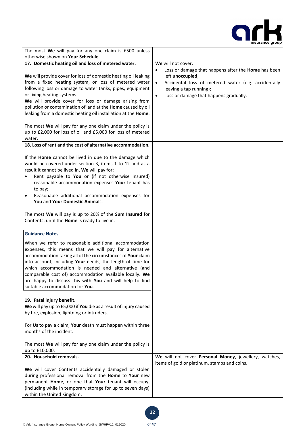

| The most We will pay for any one claim is £500 unless                                                                                                                                                                                                                                                                                                                                                                                                                               |                                                                                                                                                                                                                               |
|-------------------------------------------------------------------------------------------------------------------------------------------------------------------------------------------------------------------------------------------------------------------------------------------------------------------------------------------------------------------------------------------------------------------------------------------------------------------------------------|-------------------------------------------------------------------------------------------------------------------------------------------------------------------------------------------------------------------------------|
| otherwise shown on Your Schedule.                                                                                                                                                                                                                                                                                                                                                                                                                                                   |                                                                                                                                                                                                                               |
| 17. Domestic heating oil and loss of metered water.                                                                                                                                                                                                                                                                                                                                                                                                                                 | We will not cover:                                                                                                                                                                                                            |
| We will provide cover for loss of domestic heating oil leaking<br>from a fixed heating system, or loss of metered water<br>following loss or damage to water tanks, pipes, equipment<br>or fixing heating systems.<br>We will provide cover for loss or damage arising from<br>pollution or contamination of land at the Home caused by oil<br>leaking from a domestic heating oil installation at the Home.                                                                        | Loss or damage that happens after the Home has been<br>left unoccupied;<br>Accidental loss of metered water (e.g. accidentally<br>$\bullet$<br>leaving a tap running);<br>Loss or damage that happens gradually.<br>$\bullet$ |
| The most We will pay for any one claim under the policy is<br>up to £2,000 for loss of oil and £5,000 for loss of metered<br>water.                                                                                                                                                                                                                                                                                                                                                 |                                                                                                                                                                                                                               |
| 18. Loss of rent and the cost of alternative accommodation.                                                                                                                                                                                                                                                                                                                                                                                                                         |                                                                                                                                                                                                                               |
| If the Home cannot be lived in due to the damage which<br>would be covered under section 3, items 1 to 12 and as a<br>result it cannot be lived in, We will pay for:<br>Rent payable to You or (if not otherwise insured)<br>reasonable accommodation expenses Your tenant has<br>to pay;<br>Reasonable additional accommodation expenses for<br>You and Your Domestic Animals.<br>The most We will pay is up to 20% of the Sum Insured for                                         |                                                                                                                                                                                                                               |
| Contents, until the Home is ready to live in.                                                                                                                                                                                                                                                                                                                                                                                                                                       |                                                                                                                                                                                                                               |
| <b>Guidance Notes</b><br>When we refer to reasonable additional accommodation<br>expenses, this means that we will pay for alternative<br>accommodation taking all of the circumstances of Your claim<br>into account, including Your needs, the length of time for<br>which accommodation is needed and alternative (and<br>comparable cost of) accommodation available locally. We<br>are happy to discuss this with You and will help to find<br>suitable accommodation for You. |                                                                                                                                                                                                                               |
| 19. Fatal injury benefit.<br>We will pay up to £5,000 if You die as a result of injury caused                                                                                                                                                                                                                                                                                                                                                                                       |                                                                                                                                                                                                                               |
| by fire, explosion, lightning or intruders.                                                                                                                                                                                                                                                                                                                                                                                                                                         |                                                                                                                                                                                                                               |
| For Us to pay a claim, Your death must happen within three<br>months of the incident.                                                                                                                                                                                                                                                                                                                                                                                               |                                                                                                                                                                                                                               |
| The most We will pay for any one claim under the policy is<br>up to £10,000.                                                                                                                                                                                                                                                                                                                                                                                                        |                                                                                                                                                                                                                               |
| 20. Household removals.                                                                                                                                                                                                                                                                                                                                                                                                                                                             | We will not cover Personal Money, jewellery, watches,                                                                                                                                                                         |
| We will cover Contents accidentally damaged or stolen<br>during professional removal from the Home to Your new<br>permanent Home, or one that Your tenant will occupy,<br>(including while in temporary storage for up to seven days)<br>within the United Kingdom.                                                                                                                                                                                                                 | items of gold or platinum, stamps and coins.                                                                                                                                                                                  |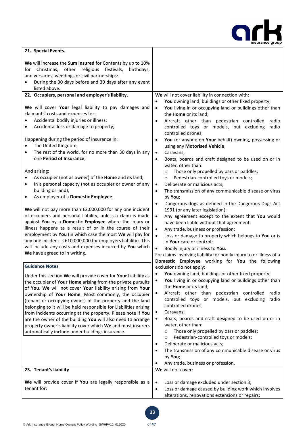

| 21. Special Events.                                                                                                                                                                                                                                                                                                                                                                                                                                                                                                                                                                                                                                                                                                                                                                                                           |                                                                                                                                                                                                                                                                                                                                                                                                                                                                                                                                                                                                                                                                                                                                                                                                                                                                                                                                                                                                                                 |
|-------------------------------------------------------------------------------------------------------------------------------------------------------------------------------------------------------------------------------------------------------------------------------------------------------------------------------------------------------------------------------------------------------------------------------------------------------------------------------------------------------------------------------------------------------------------------------------------------------------------------------------------------------------------------------------------------------------------------------------------------------------------------------------------------------------------------------|---------------------------------------------------------------------------------------------------------------------------------------------------------------------------------------------------------------------------------------------------------------------------------------------------------------------------------------------------------------------------------------------------------------------------------------------------------------------------------------------------------------------------------------------------------------------------------------------------------------------------------------------------------------------------------------------------------------------------------------------------------------------------------------------------------------------------------------------------------------------------------------------------------------------------------------------------------------------------------------------------------------------------------|
| We will increase the Sum Insured for Contents by up to 10%<br>Christmas, other<br>religious festivals,<br>birthdays,<br>for<br>anniversaries, weddings or civil partnerships:<br>During the 30 days before and 30 days after any event<br>listed above.<br>22. Occupiers, personal and employer's liability.                                                                                                                                                                                                                                                                                                                                                                                                                                                                                                                  | We will not cover liability in connection with:                                                                                                                                                                                                                                                                                                                                                                                                                                                                                                                                                                                                                                                                                                                                                                                                                                                                                                                                                                                 |
| We will cover Your legal liability to pay damages and<br>claimants' costs and expenses for:<br>Accidental bodily injuries or illness;<br>Accidental loss or damage to property;<br>٠<br>Happening during the period of insurance in:<br>The United Kingdom;<br>The rest of the world, for no more than 30 days in any<br>$\bullet$<br>one Period of Insurance;<br>And arising:<br>As occupier (not as owner) of the Home and its land;<br>In a personal capacity (not as occupier or owner of any<br>building or land);<br>As employer of a Domestic Employee.<br>$\bullet$<br>We will not pay more than £2,000,000 for any one incident<br>of occupiers and personal liability, unless a claim is made<br>against You by a Domestic Employee where the injury or<br>illness happens as a result of or in the course of their | You owning land, buildings or other fixed property;<br>You living in or occupying land or buildings other than<br>$\bullet$<br>the Home or its land;<br>Aircraft other than pedestrian controlled<br>radio<br>$\bullet$<br>controlled toys or models, but excluding<br>radio<br>controlled drones;<br>You (or anyone on Your behalf) owning, possessing or<br>$\bullet$<br>using any Motorised Vehicle;<br>Caravans;<br>$\bullet$<br>Boats, boards and craft designed to be used on or in<br>٠<br>water, other than:<br>Those only propelled by oars or paddles;<br>$\circ$<br>Pedestrian-controlled toys or models;<br>$\circ$<br>Deliberate or malicious acts;<br>$\bullet$<br>The transmission of any communicable disease or virus<br>٠<br>by You;<br>Dangerous dogs as defined in the Dangerous Dogs Act<br>$\bullet$<br>1991 (or any later legislation);<br>Any agreement except to the extent that You would<br>$\bullet$<br>have been liable without that agreement;<br>Any trade, business or profession;<br>$\bullet$ |
| employment by You (in which case the most We will pay for<br>any one incident is £10,000,000 for employers liability). This<br>will include any costs and expenses incurred by You which<br>We have agreed to in writing.                                                                                                                                                                                                                                                                                                                                                                                                                                                                                                                                                                                                     | Loss or damage to property which belongs to You or is<br>$\bullet$<br>in Your care or control;<br>$\bullet$<br>Bodily injury or illness to You.<br>For claims involving liability for bodily injury to or illness of a<br>Domestic Employee working for You the following                                                                                                                                                                                                                                                                                                                                                                                                                                                                                                                                                                                                                                                                                                                                                       |
| <b>Guidance Notes</b><br>Under this section We will provide cover for Your Liability as<br>the occupier of Your Home arising from the private pursuits<br>of You. We will not cover Your liability arising from Your<br>ownership of Your Home. Most commonly, the occupier<br>(tenant or occupying owner) of the property and the land<br>belonging to it will be held responsible for Liabilities arising<br>from incidents occurring at the property. Please note if You<br>are the owner of the building You will also need to arrange<br>property owner's liability cover which We and most insurers<br>automatically include under buildings insurance.                                                                                                                                                                 | exclusions do not apply:<br>You owning land, buildings or other fixed property;<br>You living in or occupying land or buildings other than<br>٠<br>the Home or its land;<br>Aircraft other than pedestrian controlled<br>radio<br>$\bullet$<br>controlled toys or models, but excluding<br>radio<br>controlled drones;<br>Caravans;<br>٠<br>Boats, boards and craft designed to be used on or in<br>$\bullet$<br>water, other than:<br>Those only propelled by oars or paddles;<br>$\circ$<br>Pedestrian-controlled toys or models;<br>O<br>Deliberate or malicious acts;<br>٠<br>The transmission of any communicable disease or virus<br>by You;<br>Any trade, business or profession.                                                                                                                                                                                                                                                                                                                                        |
| 23. Tenant's liability                                                                                                                                                                                                                                                                                                                                                                                                                                                                                                                                                                                                                                                                                                                                                                                                        | We will not cover:                                                                                                                                                                                                                                                                                                                                                                                                                                                                                                                                                                                                                                                                                                                                                                                                                                                                                                                                                                                                              |
| We will provide cover if You are legally responsible as a<br>tenant for:                                                                                                                                                                                                                                                                                                                                                                                                                                                                                                                                                                                                                                                                                                                                                      | Loss or damage excluded under section 3;<br>$\bullet$<br>Loss or damage caused by building work which involves<br>$\bullet$<br>alterations, renovations extensions or repairs;                                                                                                                                                                                                                                                                                                                                                                                                                                                                                                                                                                                                                                                                                                                                                                                                                                                  |

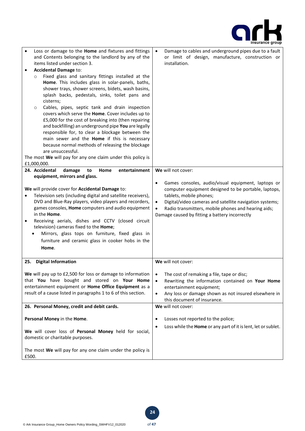

| Loss or damage to the Home and fixtures and fittings<br>and Contents belonging to the landlord by any of the<br>items listed under section 3.<br><b>Accidental Damage to:</b><br>$\bullet$<br>Fixed glass and sanitary fittings installed at the<br>O<br>Home. This includes glass in solar-panels, baths,<br>shower trays, shower screens, bidets, wash basins,<br>splash backs, pedestals, sinks, toilet pans and<br>cisterns;<br>Cables, pipes, septic tank and drain inspection<br>O<br>covers which serve the Home. Cover includes up to<br>£5,000 for the cost of breaking into (then repairing<br>and backfilling) an underground pipe You are legally<br>responsible for, to clear a blockage between the<br>main sewer and the Home if this is necessary<br>because normal methods of releasing the blockage<br>are unsuccessful.<br>The most We will pay for any one claim under this policy is | Damage to cables and underground pipes due to a fault<br>$\bullet$<br>or limit of design, manufacture, construction or<br>installation.                                                                                                                                                                                                          |
|-----------------------------------------------------------------------------------------------------------------------------------------------------------------------------------------------------------------------------------------------------------------------------------------------------------------------------------------------------------------------------------------------------------------------------------------------------------------------------------------------------------------------------------------------------------------------------------------------------------------------------------------------------------------------------------------------------------------------------------------------------------------------------------------------------------------------------------------------------------------------------------------------------------|--------------------------------------------------------------------------------------------------------------------------------------------------------------------------------------------------------------------------------------------------------------------------------------------------------------------------------------------------|
| £1,000,000.<br>24. Accidental<br>entertainment<br>damage<br>Home<br>to                                                                                                                                                                                                                                                                                                                                                                                                                                                                                                                                                                                                                                                                                                                                                                                                                                    | We will not cover:                                                                                                                                                                                                                                                                                                                               |
| equipment, mirrors and glass.<br>We will provide cover for Accidental Damage to:<br>Television sets (including digital and satellite receivers),<br>DVD and Blue-Ray players, video players and recorders,<br>games consoles, Home computers and audio equipment<br>in the <b>Home</b> .<br>Receiving aerials, dishes and CCTV (closed circuit<br>٠<br>television) cameras fixed to the Home;<br>Mirrors, glass tops on furniture, fixed glass in<br>furniture and ceramic glass in cooker hobs in the<br>Home.                                                                                                                                                                                                                                                                                                                                                                                           | Games consoles, audio/visual equipment, laptops or<br>$\bullet$<br>computer equipment designed to be portable, laptops,<br>tablets, mobile phones;<br>Digital/video cameras and satellite navigation systems;<br>$\bullet$<br>Radio transmitters, mobile phones and hearing aids;<br>$\bullet$<br>Damage caused by fitting a battery incorrectly |
| 25. Digital Information                                                                                                                                                                                                                                                                                                                                                                                                                                                                                                                                                                                                                                                                                                                                                                                                                                                                                   | We will not cover:                                                                                                                                                                                                                                                                                                                               |
| We will pay up to £2,500 for loss or damage to information<br>that You have bought and stored on Your Home<br>entertainment equipment or Home Office Equipment as a<br>result of a cause listed in paragraphs 1 to 6 of this section.                                                                                                                                                                                                                                                                                                                                                                                                                                                                                                                                                                                                                                                                     | The cost of remaking a file, tape or disc;<br>$\bullet$<br>Rewriting the information contained on Your Home<br>$\bullet$<br>entertainment equipment;<br>Any loss or damage shown as not insured elsewhere in<br>$\bullet$<br>this document of insurance.                                                                                         |
| 26. Personal Money, credit and debit cards.                                                                                                                                                                                                                                                                                                                                                                                                                                                                                                                                                                                                                                                                                                                                                                                                                                                               | We will not cover:                                                                                                                                                                                                                                                                                                                               |
| Personal Money in the Home.<br>We will cover loss of Personal Money held for social,<br>domestic or charitable purposes.<br>The most We will pay for any one claim under the policy is                                                                                                                                                                                                                                                                                                                                                                                                                                                                                                                                                                                                                                                                                                                    | Losses not reported to the police;<br>$\bullet$<br>Loss while the Home or any part of it is lent, let or sublet.<br>$\bullet$                                                                                                                                                                                                                    |
| £500.                                                                                                                                                                                                                                                                                                                                                                                                                                                                                                                                                                                                                                                                                                                                                                                                                                                                                                     |                                                                                                                                                                                                                                                                                                                                                  |

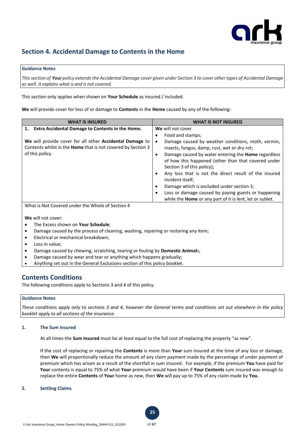

# **Section 4. Accidental Damage to Contents in the Home**

# **Guidance Notes**

*Thissection of Your policy extends the Accidental Damage cover given under Section 3 to cover other types of Accidental Damage as well. It explains what is and is not covered.* 

This section only applies when shown on **Your Schedule** as insured / included.

**We** will provide cover for loss of or damage to **Contents** in the **Home** caused by any of the following:

| <b>WHAT IS INSURED</b>                                              | <b>WHAT IS NOT INSURED</b>                                                                                                                                   |
|---------------------------------------------------------------------|--------------------------------------------------------------------------------------------------------------------------------------------------------------|
| 1. Extra Accidental Damage to Contents in the Home.                 | We will not cover                                                                                                                                            |
|                                                                     | Food and stamps;<br>٠                                                                                                                                        |
| We will provide cover for all other Accidental Damage to            | Damage caused by weather conditions, moth, vermin,<br>$\bullet$                                                                                              |
| Contents whilst in the <b>Home</b> that is not covered by Section 3 | insects, fungus, damp, rust, wet or dry rot;                                                                                                                 |
| of this policy.                                                     | Damage caused by water entering the <b>Home</b> regardless<br>$\bullet$<br>of how this happened (other than that covered under<br>Section 3 of this policy); |
|                                                                     | Any loss that is not the direct result of the insured<br>$\bullet$<br>incident itself;                                                                       |
|                                                                     | Damage which is excluded under section 3;<br>$\bullet$                                                                                                       |
|                                                                     | Loss or damage caused by paying guests or happening<br>$\bullet$<br>while the <b>Home</b> or any part of it is lent, let or sublet.                          |
| What is Not Covered under the Whole of Section 4                    |                                                                                                                                                              |
|                                                                     |                                                                                                                                                              |
| We will not cover:                                                  |                                                                                                                                                              |

- The Excess shown on **Your Schedule**;
- Damage caused by the process of cleaning, washing, repairing or restoring any item;
- Electrical or mechanical breakdown;
- Loss in value;
- Damage caused by chewing, scratching, tearing or fouling by **Domestic Animal**s;
- Damage caused by wear and tear or anything which happens gradually;
- Anything set out in the General Exclusions section of this policy booklet.

# **Contents Conditions**

The following conditions apply to Sections 3 and 4 of this policy.

# **Guidance Notes**

*These conditions apply only to sections 3 and 4, however the General terms and conditions set out elsewhere in the policy booklet apply to all sections of the insurance.*

# **1. The Sum Insured**

At all times the **Sum Insured** must be at least equal to the full cost of replacing the property "as new".

If the cost of replacing or repairing the **Contents** is more than **Your** sum insured at the time of any loss or damage, then **We** will proportionally reduce the amount of any claim payment made by the percentage of under payment of premium which has arisen as a result of the shortfall in sum insured. For example, if the premium **You** have paid for **Your** contents is equal to 75% of what **Your** premium would have been if **Your Contents** sum insured was enough to replace the entire **Contents** of **Your** home as new, then **We** will pay up to 75% of any claim made by **You**.

**25**

#### **2. Settling Claims**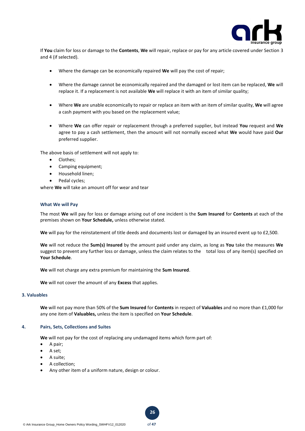

If **You** claim for loss or damage to the **Contents**, **We** will repair, replace or pay for any article covered under Section 3 and 4 (if selected).

- Where the damage can be economically repaired **We** will pay the cost of repair;
- Where the damage cannot be economically repaired and the damaged or lost item can be replaced, **We** will replace it. If a replacement is not available **We** will replace it with an item of similar quality;
- Where **We** are unable economically to repair or replace an item with an item of similar quality, **We** will agree a cash payment with you based on the replacement value;
- Where **We** can offer repair or replacement through a preferred supplier, but instead **You** request and **We** agree to pay a cash settlement, then the amount will not normally exceed what **We** would have paid **Our** preferred supplier.

The above basis of settlement will not apply to:

- Clothes;
- Camping equipment;
- Household linen;
- Pedal cycles;

where **We** will take an amount off for wear and tear

## **What We will Pay**

The most **We** will pay for loss or damage arising out of one incident is the **Sum Insured** for **Contents** at each of the premises shown on **Your Schedule,** unless otherwise stated.

We will pay for the reinstatement of title deeds and documents lost or damaged by an insured event up to £2,500.

**We** will not reduce the **Sum(s) Insured** by the amount paid under any claim, as long as **You** take the measures **We** suggest to prevent any further loss or damage, unless the claim relates to the total loss of any item(s) specified on **Your Schedule**.

**We** will not charge any extra premium for maintaining the **Sum Insured**.

**We** will not cover the amount of any **Excess** that applies.

# **3. Valuables**

**We** will not pay more than 50% of the **Sum Insured** for **Contents** in respect of **Valuables** and no more than £1,000 for any one item of **Valuables,** unless the item is specified on **Your Schedule**.

**26**

## **4. Pairs, Sets, Collections and Suites**

**We** will not pay for the cost of replacing any undamaged items which form part of:

- A pair;
- A set;
- A suite;
- A collection;
- Any other item of a uniform nature, design or colour.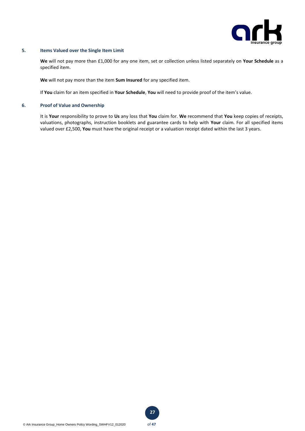

# **5. Items Valued over the Single Item Limit**

**We** will not pay more than £1,000 for any one item, set or collection unless listed separately on **Your Schedule** as a specified item.

**We** will not pay more than the item **Sum Insured** for any specified item.

If **You** claim for an item specified in **Your Schedule**, **You** will need to provide proof of the item's value.

# **6. Proof of Value and Ownership**

It is **Your** responsibility to prove to **Us** any loss that **You** claim for. **We** recommend that **You** keep copies of receipts, valuations, photographs, instruction booklets and guarantee cards to help with **Your** claim. For all specified items valued over £2,500, **You** must have the original receipt or a valuation receipt dated within the last 3 years.

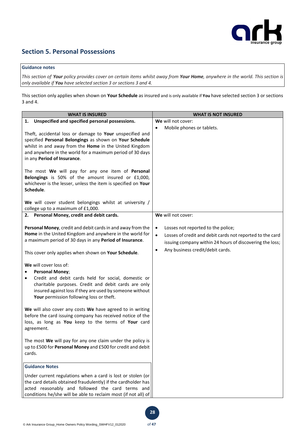

# **Section 5. Personal Possessions**

# **Guidance notes**

*This section of Your policy provides cover on certain items whilst away from Your Home, anywhere in the world. This section is only available if You have selected section 3 or sections 3 and 4.*

This section only applies when shown on **Your Schedule** as insured and is only available if **You** have selected section 3 or sections 3 and 4.

| <b>WHAT IS INSURED</b>                                                                                                                                                                                                                                                    | <b>WHAT IS NOT INSURED</b>                                                                                                                                                                                                             |
|---------------------------------------------------------------------------------------------------------------------------------------------------------------------------------------------------------------------------------------------------------------------------|----------------------------------------------------------------------------------------------------------------------------------------------------------------------------------------------------------------------------------------|
| 1. Unspecified and specified personal possessions.                                                                                                                                                                                                                        | We will not cover:                                                                                                                                                                                                                     |
| Theft, accidental loss or damage to Your unspecified and<br>specified Personal Belongings as shown on Your Schedule<br>whilst in and away from the Home in the United Kingdom<br>and anywhere in the world for a maximum period of 30 days<br>in any Period of Insurance. | Mobile phones or tablets.<br>$\bullet$                                                                                                                                                                                                 |
| The most We will pay for any one item of Personal<br>Belongings is 50% of the amount insured or £1,000,<br>whichever is the lesser, unless the item is specified on Your<br>Schedule.                                                                                     |                                                                                                                                                                                                                                        |
| We will cover student belongings whilst at university /<br>college up to a maximum of £1,000.                                                                                                                                                                             |                                                                                                                                                                                                                                        |
| 2. Personal Money, credit and debit cards.                                                                                                                                                                                                                                | We will not cover:                                                                                                                                                                                                                     |
| Personal Money, credit and debit cards in and away from the<br>Home in the United Kingdom and anywhere in the world for<br>a maximum period of 30 days in any Period of Insurance.<br>This cover only applies when shown on Your Schedule.                                | Losses not reported to the police;<br>$\bullet$<br>$\bullet$<br>Losses of credit and debit cards not reported to the card<br>issuing company within 24 hours of discovering the loss;<br>Any business credit/debit cards.<br>$\bullet$ |
| We will cover loss of:<br><b>Personal Money;</b><br>Credit and debit cards held for social, domestic or<br>charitable purposes. Credit and debit cards are only<br>insured against loss if they are used by someone without<br>Your permission following loss or theft.   |                                                                                                                                                                                                                                        |
| We will also cover any costs We have agreed to in writing<br>before the card issuing company has received notice of the<br>loss, as long as You keep to the terms of Your card<br>agreement.                                                                              |                                                                                                                                                                                                                                        |
| The most We will pay for any one claim under the policy is<br>up to £500 for Personal Money and £500 for credit and debit<br>cards.                                                                                                                                       |                                                                                                                                                                                                                                        |
| <b>Guidance Notes</b>                                                                                                                                                                                                                                                     |                                                                                                                                                                                                                                        |
| Under current regulations when a card is lost or stolen (or<br>the card details obtained fraudulently) if the cardholder has<br>acted reasonably and followed the card terms and<br>conditions he/she will be able to reclaim most (if not all) of                        |                                                                                                                                                                                                                                        |

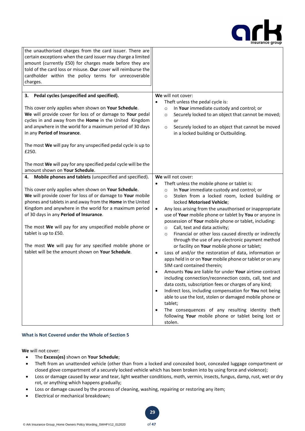

| the unauthorised charges from the card issuer. There are<br>certain exceptions when the card issuer may charge a limited<br>amount (currently £50) for charges made before they are<br>told of the card loss or misuse. Our cover will reimburse the<br>cardholder within the policy terms for unrecoverable<br>charges.                                                                                                                                                                                                                                |                                                                                                                                                                                                                                                                                                                                                                                                                                                                                                                                                                                                                                                                                                                                                                                                                                                                                                                                                                                                                                                                                                                                                                                                                                                           |
|---------------------------------------------------------------------------------------------------------------------------------------------------------------------------------------------------------------------------------------------------------------------------------------------------------------------------------------------------------------------------------------------------------------------------------------------------------------------------------------------------------------------------------------------------------|-----------------------------------------------------------------------------------------------------------------------------------------------------------------------------------------------------------------------------------------------------------------------------------------------------------------------------------------------------------------------------------------------------------------------------------------------------------------------------------------------------------------------------------------------------------------------------------------------------------------------------------------------------------------------------------------------------------------------------------------------------------------------------------------------------------------------------------------------------------------------------------------------------------------------------------------------------------------------------------------------------------------------------------------------------------------------------------------------------------------------------------------------------------------------------------------------------------------------------------------------------------|
| 3. Pedal cycles (unspecified and specified).<br>This cover only applies when shown on Your Schedule.<br>We will provide cover for loss of or damage to Your pedal<br>cycles in and away from the Home in the United Kingdom<br>and anywhere in the world for a maximum period of 30 days<br>in any Period of Insurance.                                                                                                                                                                                                                                 | We will not cover:<br>Theft unless the pedal cycle is:<br>In Your immediate custody and control; or<br>$\circ$<br>Securely locked to an object that cannot be moved;<br>$\circ$<br>or<br>Securely locked to an object that cannot be moved<br>$\circ$<br>in a locked building or Outbuilding.                                                                                                                                                                                                                                                                                                                                                                                                                                                                                                                                                                                                                                                                                                                                                                                                                                                                                                                                                             |
| The most We will pay for any unspecified pedal cycle is up to<br>£250.<br>The most We will pay for any specified pedal cycle will be the<br>amount shown on Your Schedule.                                                                                                                                                                                                                                                                                                                                                                              |                                                                                                                                                                                                                                                                                                                                                                                                                                                                                                                                                                                                                                                                                                                                                                                                                                                                                                                                                                                                                                                                                                                                                                                                                                                           |
| Mobile phones and tablets (unspecified and specified).<br>4.<br>This cover only applies when shown on Your Schedule.<br>We will provide cover for loss of or damage to Your mobile<br>phones and tablets in and away from the Home in the United<br>Kingdom and anywhere in the world for a maximum period<br>of 30 days in any Period of Insurance.<br>The most We will pay for any unspecified mobile phone or<br>tablet is up to £50.<br>The most We will pay for any specified mobile phone or<br>tablet will be the amount shown on Your Schedule. | We will not cover:<br>Theft unless the mobile phone or tablet is:<br>In Your immediate custody and control; or<br>$\circ$<br>Stolen from a locked room, locked building or<br>$\circ$<br>locked Motorised Vehicle;<br>Any loss arising from the unauthorised or inappropriate<br>$\bullet$<br>use of Your mobile phone or tablet by You or anyone in<br>possession of Your mobile phone or tablet, including:<br>Call, text and data activity;<br>$\circ$<br>Financial or other loss caused directly or indirectly<br>$\circ$<br>through the use of any electronic payment method<br>or facility on Your mobile phone or tablet;<br>Loss of and/or the restoration of data, information or<br>$\bullet$<br>apps held in or on Your mobile phone or tablet or on any<br>SIM card contained therein;<br>Amounts You are liable for under Your airtime contract<br>including connection/reconnection costs, call, text and<br>data costs, subscription fees or charges of any kind;<br>Indirect loss, including compensation for You not being<br>٠<br>able to use the lost, stolen or damaged mobile phone or<br>tablet;<br>The consequences of any resulting identity theft<br>$\bullet$<br>following Your mobile phone or tablet being lost or<br>stolen. |

# **What is Not Covered under the Whole of Section 5**

**We** will not cover:

- The **Excess(es)** shown on **Your Schedule**;
- Theft from an unattended vehicle (other than from a locked and concealed boot, concealed luggage compartment or closed glove compartment of a securely locked vehicle which has been broken into by using force and violence);
- Loss or damage caused by wear and tear, light weather conditions, moth, vermin, insects, fungus, damp, rust, wet or dry rot, or anything which happens gradually;
- Loss or damage caused by the process of cleaning, washing, repairing or restoring any item;
- Electrical or mechanical breakdown;

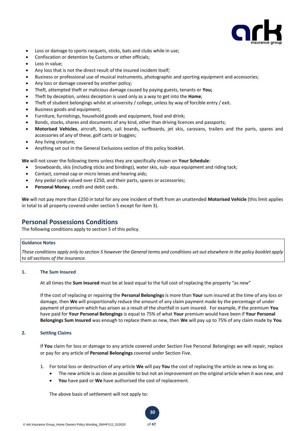

- Loss or damage to sports racquets, sticks, bats and clubs while in use;
- Confiscation or detention by Customs or other officials;
- Loss in value;
- Any loss that is not the direct result of the insured incident itself;
- Business or professional use of musical instruments, photographic and sporting equipment and accessories;
- Any loss or damage covered by another policy;
- Theft, attempted theft or malicious damage caused by paying guests, tenants or **You;**
- Theft by deception, unless deception is used only as a way to get into the **Home**;
- Theft of student belongings whilst at university / college, unless by way of forcible entry / exit.
- Business goods and equipment;
- Furniture, furnishings, household goods and equipment, food and drink;
- Bonds, stocks, shares and documents of any kind, other than driving licences and passports;
- **Motorised Vehicles**, aircraft, boats, sail boards, surfboards, jet skis, caravans, trailers and the parts, spares and accessories of any of these, golf carts or buggies;
- Any living creature;
- Anything set out in the General Exclusions section of this policy booklet.

**We** will not cover the following items unless they are specifically shown on **Your Schedule**:

- Snowboards, skis (including sticks and bindings), water skis, sub- aqua equipment and riding tack;
- Contact, corneal cap or micro lenses and hearing aids;
- Any pedal cycle valued over £250, and their parts, spares or accessories;
- **Personal Money**, credit and debit cards.

**We** will not pay more than £250 in total for any one incident of theft from an unattended **Motorised Vehicle** (this limit applies in total to all property covered under section 5 except for item 3).

# **Personal Possessions Conditions**

The following conditions apply to section 5 of this policy.

### **Guidance Notes**

*These conditions apply only to section 5 however the General terms and conditions set out elsewhere in the policy booklet apply to all sections of the insurance.* 

## **1. The Sum Insured**

At all times the **Sum Insured** must be at least equal to the full cost of replacing the property "as new"

If the cost of replacing or repairing the **Personal Belongings** is more than **Your** sum insured at the time of any loss or damage, then **We** will proportionally reduce the amount of any claim payment made by the percentage of under payment of premium which has arisen as a result of the shortfall in sum insured. For example, if the premium **You** have paid for **Your Personal Belongings** is equal to 75% of what **Your** premium would have been if **Your Personal Belongings Sum Insured** was enough to replace them as new, then **We** will pay up to 75% of any claim made by **You**.

# **2. Settling Claims**

If **You** claim for loss or damage to any article covered under Section Five Personal Belongings we will repair, replace or pay for any article of **Personal Belongings** covered under Section Five.

1. For total loss or destruction of any article **We** will pay **You** the cost of replacing the article as new as long as:

**30**

- The new article is as close as possible to but not an improvement on the original article when it was new, and
- **You** have paid or **We** have authorised the cost of replacement.

The above basis of settlement will not apply to: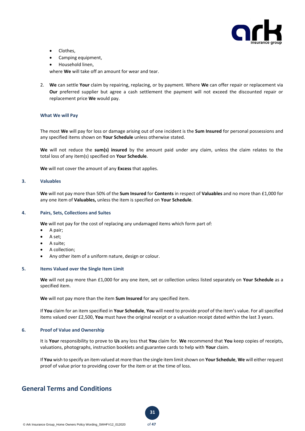

- Clothes.
- Camping equipment,
- Household linen,

where **We** will take off an amount for wear and tear.

2. **We** can settle **Your** claim by repairing, replacing, or by payment. Where **We** can offer repair or replacement via **Our** preferred supplier but agree a cash settlement the payment will not exceed the discounted repair or replacement price **We** would pay.

## **What We will Pay**

The most **We** will pay for loss or damage arising out of one incident is the **Sum Insured** for personal possessions and any specified items shown on **Your Schedule** unless otherwise stated.

**We** will not reduce the **sum(s) insured** by the amount paid under any claim, unless the claim relates to the total loss of any item(s) specified on **Your Schedule**.

**We** will not cover the amount of any **Excess** that applies.

#### **3. Valuables**

**We** will not pay more than 50% of the **Sum Insured** for **Contents** in respect of **Valuables** and no more than £1,000 for any one item of **Valuables,** unless the item is specified on **Your Schedule**.

## **4. Pairs, Sets, Collections and Suites**

**We** will not pay for the cost of replacing any undamaged items which form part of:

- A pair;
- A set;
- A suite;
- A collection;
- Any other item of a uniform nature, design or colour.

#### **5. Items Valued over the Single Item Limit**

**We** will not pay more than £1,000 for any one item, set or collection unless listed separately on **Your Schedule** as a specified item.

**We** will not pay more than the item **Sum Insured** for any specified item.

If **You** claim for an item specified in **Your Schedule**, **You** will need to provide proof of the item's value. For all specified items valued over £2,500, **You** must have the original receipt or a valuation receipt dated within the last 3 years.

#### **6. Proof of Value and Ownership**

It is **Your** responsibility to prove to **Us** any loss that **You** claim for. **We** recommend that **You** keep copies of receipts, valuations, photographs, instruction booklets and guarantee cards to help with **Your** claim.

If **You** wish to specify an item valued at more than the single item limit shown on **Your Schedule**, **We** will either request proof of value prior to providing cover for the item or at the time of loss.

# **General Terms and Conditions**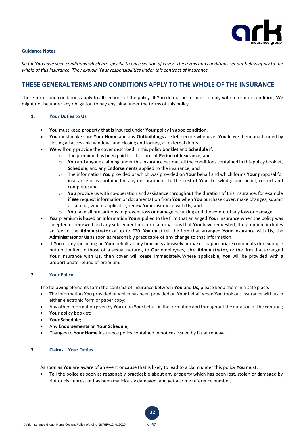

# **Guidance Notes**

*So far You have seen conditions which are specific to each section of cover. The terms and conditions set out below apply to the whole of this insurance. They explain Your responsibilities under this contract of insurance.*

# **THESE GENERAL TERMS AND CONDITIONS APPLY TO THE WHOLE OF THE INSURANCE**

These terms and conditions apply to all sections of the policy. If **You** do not perform or comply with a term or condition, **We** might not be under any obligation to pay anything under the terms of this policy.

## **1. Your Duties to Us**

- **You** must keep property that is insured under **Your** policy in good condition.
- **You** must make sure **Your Home** and any **Outbuildings** are left secure whenever **You** leave them unattended by closing all accessible windows and closing and locking all external doors.
	- **We** will only provide the cover described in this policy booklet and **Schedule** if:
		- o The premium has been paid for the current **Period of Insurance**; and
			- o **You** and anyone claiming under this insurance has met all the conditions contained in this policy booklet, **Schedule**, and any **Endorsements** applied to the insurance; and
			- o The information **You** provided or which was provided on **Your** behalf and which forms **Your** proposal for insurance or is contained in any declaration is, to the best of **Your** knowledge and belief, correct and complete; and
			- o **You** provide us with co-operation and assistance throughout the duration of this insurance, for example if **We** request information or documentation from **You** when **You** purchase cover, make changes, submit a claim or, where applicable, renew **Your** insurance with **Us**; and
			- o **You** take all precautions to prevent loss or damage occurring and the extent of any loss or damage.
- **Your**premium is based on information **You** supplied to the firm that arranged **Your** insurance when the policy was incepted or renewed and any subsequent midterm alternations that **You** have requested, the premium includes an fee to the **Administrator** of up to £20. **You** must tell the firm that arranged **Your** insurance with **Us,** the **Administrator** or **Us** as soon as reasonably practicable of any change to that information.
- If **You** or anyone acting on **Your** behalf at any time acts abusively or makes inappropriate comments (for example but not limited to those of a sexual nature), to **Our** employees, th e **Administrator,** or the firm that arranged **Your** insurance with **Us,** then cover will cease immediately. Where applicable, **You** will be provided with a proportionate refund of premium.

# **2. Your Policy**

The following elements form the contract of insurance between **You** and **Us,** please keep them in a safe place:

- The information **You** provided or which has been provided on **Your** behalf when **You** took out insurance with us in either electronic form or paper copy;
- Any otherinformation given by **You** or on **Your** behalf in the formation and throughoutthe duration of the contract;
- **Your** policy booklet;
- **Your Schedule**;
- Any **Endorsements** on **Your Schedule**;
- Changes to **Your Home** insurance policy contained in notices issued by **Us** at renewal.

# **3. Claims – Your Duties**

As soon as **You** are aware of an event or cause that is likely to lead to a claim under this policy **You** must:

**32**

• Tell the police as soon as reasonably practicable about any property which has been lost, stolen or damaged by riot or civil unrest or has been maliciously damaged, and get a crime reference number;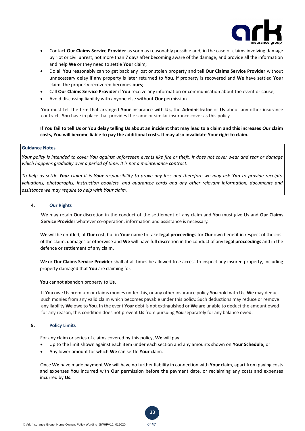

- Contact **Our Claims Service Provider** as soon as reasonably possible and, in the case of claims involving damage by riot or civil unrest, not more than 7 days after becoming aware of the damage, and provide all the information and help **We** or they need to settle **Your** claim;
- Do all **You** reasonably can to get back any lost or stolen property and tell **Our Claims Service Provider** without unnecessary delay if any property is later returned to **You.** If property is recovered and **We** have settled **Your** claim, the property recovered becomes **ours**;
- Call **Our Claims Service Provider** if **You** receive any information or communication about the event or cause;
- Avoid discussing liability with anyone else without **Our** permission.

**You** must tell the firm that arranged **Your** insurance with **Us,** the **Administrator** or **Us** about any other insurance contracts **You** have in place that provides the same or similar insurance cover as this policy.

**If You fail to tell Us or You delay telling Us about an incident that may lead to a claim and this increases Our claim costs, You will become liable to pay the additional costs. It may also invalidate Your right to claim.** 

#### **Guidance Notes**

*Your policy is intended to cover You against unforeseen events like fire or theft. It does not cover wear and tear or damage which happens gradually over a period of time. It is not a maintenance contract.* 

*To help us settle Your claim it is Your responsibility to prove any loss and therefore we may ask You to provide receipts, valuations, photographs, instruction booklets, and guarantee cards and any other relevant information, documents and assistance we may require to help with Your claim.*

#### **4. Our Rights**

**We** may retain **Our** discretion in the conduct of the settlement of any claim and **You** must give **Us** and **Our Claims Service Provider** whatever co-operation, information and assistance is necessary.

**We** will be entitled, at **Our** cost, but in **Your** name to take **legal proceedings** for **Our** own benefit in respect of the cost of the claim, damages or otherwise and **We** will have full discretion in the conduct of any **legal proceedings** and in the defence or settlement of any claim.

**We** or **Our Claims Service Provider** shall at all times be allowed free access to inspect any insured property, including property damaged that **You** are claiming for.

**You** cannot abandon property to **Us.**

If **You** owe **Us** premium or claims monies under this, or any other insurance policy **You** hold with **Us**, **We** may deduct such monies from any valid claim which becomes payable under this policy. Such deductions may reduce or remove any liability **We** owe to **You**. In the event **Your** debt is not extinguished or **We** are unable to deduct the amount owed for any reason, this condition does not prevent **Us** from pursuing **You** separately for any balance owed.

#### **5. Policy Limits**

For any claim or series of claims covered by this policy, **We** will pay:

• Up to the limit shown against each item under each section and any amounts shown on **Your Schedule;** or

**33**

• Any lower amount for which **We** can settle **Your** claim.

Once **We** have made payment **We** will have no further liability in connection with **Your** claim, apart from paying costs and expenses **You** incurred with **Our** permission before the payment date, or reclaiming any costs and expenses incurred by **Us**.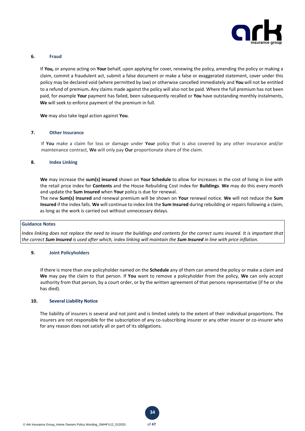

#### **6. Fraud**

If **You,** or anyone acting on **Your** behalf, upon applying for cover, renewing the policy, amending the policy or making a claim, commit a fraudulent act, submit a false document or make a false or exaggerated statement, cover under this policy may be declared void (where permitted by law) or otherwise cancelled immediately and **You** will not be entitled to a refund of premium**.** Any claims made against the policy will also not be paid. Where the full premium has not been paid, for example **Your** payment has failed, been subsequently recalled or **You** have outstanding monthly instalments, **We** will seek to enforce payment of the premium in full.

**We** may also take legal action against **You**.

#### **7. Other Insurance**

If **You** make a claim for loss or damage under **Your** policy that is also covered by any other insurance and/or maintenance contract, **We** will only pay **Our** proportionate share of the claim.

### **8. Index Linking**

**We** may increase the **sum(s) insured** shown on **Your Schedule** to allow for increases in the cost of living in line with the retail price index for **Contents** and the House Rebuilding Cost index for **Buildings**. **We** may do this every month and update the **Sum Insured** when **Your** policy is due for renewal.

The new **Sum(s) Insured** and renewal premium will be shown on **Your** renewal notice. **We** will not reduce the **Sum Insured** if the index falls. **We** will continue to index link the **Sum Insured** during rebuilding or repairs following a claim, as long as the work is carried out without unnecessary delays.

#### **Guidance Notes**

*Index linking does not replace the need to insure the buildings and contents for the correct sums insured. It is important that the correct Sum Insured is used after which, index linking will maintain the Sum Insured in line with price inflation.* 

#### **9. Joint Policyholders**

If there is more than one policyholder named on the **Schedule** any of them can amend the policy or make a claim and **We** may pay the claim to that person. If **You** want to remove a policyholder from the policy, **We** can only accept authority from that person, by a court order, or by the written agreement of that persons representative (if he or she has died).

# **10. Several Liability Notice**

The liability of insurers is several and not joint and is limited solely to the extent of their individual proportions. The insurers are not responsible for the subscription of any co-subscribing insurer or any other insurer or co-insurer who for any reason does not satisfy all or part of its obligations.



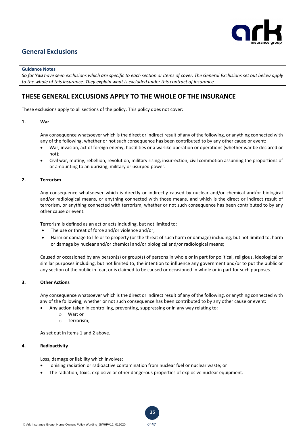

# **General Exclusions**

#### **Guidance Notes**

*So far You have seen exclusions which are specific to each section or items of cover. The General Exclusions set out below apply to the whole of this insurance. They explain what is excluded under this contract of insurance.*

# **THESE GENERAL EXCLUSIONS APPLY TO THE WHOLE OF THE INSURANCE**

These exclusions apply to all sections of the policy. This policy does not cover:

# **1. War**

Any consequence whatsoever which is the direct or indirect result of any of the following, or anything connected with any of the following, whether or not such consequence has been contributed to by any other cause or event:

- War, invasion, act of foreign enemy, hostilities or a warlike operation or operations (whether war be declared or not);
- Civil war, mutiny, rebellion, revolution, military rising, insurrection, civil commotion assuming the proportions of or amounting to an uprising, military or usurped power.

## **2. Terrorism**

Any consequence whatsoever which is directly or indirectly caused by nuclear and/or chemical and/or biological and/or radiological means, or anything connected with those means, and which is the direct or indirect result of terrorism, or anything connected with terrorism, whether or not such consequence has been contributed to by any other cause or event.

Terrorism is defined as an act or acts including, but not limited to:

- The use or threat of force and/or violence and/or;
- Harm or damage to life or to property (or the threat of such harm or damage) including, but not limited to, harm or damage by nuclear and/or chemical and/or biological and/or radiological means;

Caused or occasioned by any person(s) or group(s) of persons in whole or in part for political, religious, ideological or similar purposes including, but not limited to, the intention to influence any government and/or to put the public or any section of the public in fear, or is claimed to be caused or occasioned in whole or in part for such purposes.

# **3. Other Actions**

Any consequence whatsoever which is the direct or indirect result of any of the following, or anything connected with any of the following, whether or not such consequence has been contributed to by any other cause or event:

- Any action taken in controlling, preventing, suppressing or in any way relating to:
	- o War; or
	- o Terrorism;

As set out in items 1 and 2 above.

# **4. Radioactivity**

Loss, damage or liability which involves:

- Ionising radiation or radioactive contamination from nuclear fuel or nuclear waste; or
- The radiation, toxic, explosive or other dangerous properties of explosive nuclear equipment.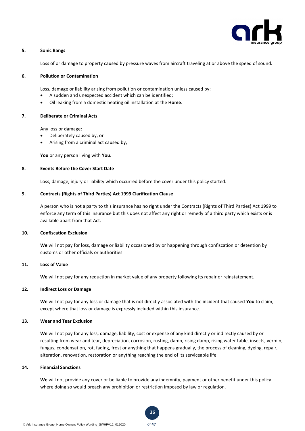

#### **5. Sonic Bangs**

Loss of or damage to property caused by pressure waves from aircraft traveling at or above the speed of sound.

#### **6. Pollution or Contamination**

Loss, damage or liability arising from pollution or contamination unless caused by:

- A sudden and unexpected accident which can be identified;
- Oil leaking from a domestic heating oil installation at the **Home**.

#### **7. Deliberate or Criminal Acts**

Any loss or damage:

- Deliberately caused by; or
- Arising from a criminal act caused by;

**You** or any person living with **You**.

## **8. Events Before the Cover Start Date**

Loss, damage, injury or liability which occurred before the cover under this policy started.

# **9. Contracts (Rights of Third Parties) Act 1999 Clarification Clause**

A person who is not a party to this insurance has no right under the Contracts (Rights of Third Parties) Act 1999 to enforce any term of this insurance but this does not affect any right or remedy of a third party which exists or is available apart from that Act.

# **10. Confiscation Exclusion**

**We** will not pay for loss, damage or liability occasioned by or happening through confiscation or detention by customs or other officials or authorities.

### **11. Loss of Value**

**We** will not pay for any reduction in market value of any property following its repair or reinstatement.

# **12. Indirect Loss or Damage**

**We** will not pay for any loss or damage that is not directly associated with the incident that caused **You** to claim, except where that loss or damage is expressly included within this insurance.

#### **13. Wear and Tear Exclusion**

**We** will not pay for any loss, damage, liability, cost or expense of any kind directly or indirectly caused by or resulting from wear and tear, depreciation, corrosion, rusting, damp, rising damp, rising water table, insects, vermin, fungus, condensation, rot, fading, frost or anything that happens gradually, the process of cleaning, dyeing, repair, alteration, renovation, restoration or anything reaching the end of its serviceable life.

## **14. Financial Sanctions**

**We** will not provide any cover or be liable to provide any indemnity, payment or other benefit under this policy where doing so would breach any prohibition or restriction imposed by law or regulation.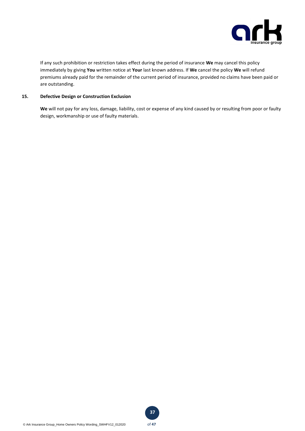

If any such prohibition or restriction takes effect during the period of insurance **We** may cancel this policy immediately by giving **You** written notice at **Your** last known address. If **We** cancel the policy **We** will refund premiums already paid for the remainder of the current period of insurance, provided no claims have been paid or are outstanding.

# **15. Defective Design or Construction Exclusion**

**We** will not pay for any loss, damage, liability, cost or expense of any kind caused by or resulting from poor or faulty design, workmanship or use of faulty materials.

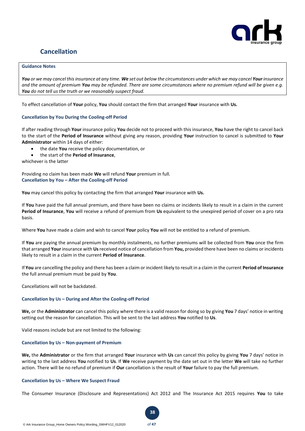

# **Cancellation**

# **Guidance Notes**

*You or we may cancel this insurance at any time. We set out below the circumstances under which we may cancel Yourinsurance and the amount of premium You may be refunded. There are some circumstances where no premium refund will be given e.g. You do not tell us the truth or we reasonably suspect fraud.*

To effect cancellation of **Your** policy, **You** should contact the firm that arranged **Your** insurance with **Us.** 

## **Cancellation by You During the Cooling-off Period**

If after reading through **Your** insurance policy **You** decide not to proceed with this insurance, **You** have the right to cancel back to the start of the **Period of Insurance** without giving any reason, providing **Your** instruction to cancel is submitted to **Your Administrator** within 14 days of either:

- the date **You** receive the policy documentation, or
- the start of the **Period of Insurance**,

whichever is the latter

Providing no claim has been made **We** will refund **Your** premium in full. **Cancellation by You – After the Cooling-off Period**

**You** may cancel this policy by contacting the firm that arranged **Your** insurance with **Us.**

If **You** have paid the full annual premium, and there have been no claims or incidents likely to result in a claim in the current **Period of Insurance**, **You** will receive a refund of premium from **Us** equivalent to the unexpired period of cover on a pro rata basis.

Where **You** have made a claim and wish to cancel **Your** policy **You** will not be entitled to a refund of premium.

If **You** are paying the annual premium by monthly instalments, no further premiums will be collected from **You** once the firm that arranged **Your** insurance with **Us**received notice of cancellation from **You,** provided there have been no claims or incidents likely to result in a claim in the current **Period of Insurance**.

If **You** are cancelling the policy and there has been a claim or incident likely to result in a claim in the current **Period of Insurance** the full annual premium must be paid by **You**.

Cancellations will not be backdated.

# **Cancellation by Us – During and After the Cooling-off Period**

**We,** or the **Administrator** can cancel this policy where there is a valid reason for doing so by giving **You** 7 days' notice in writing setting out the reason for cancellation. This will be sent to the last address **You** notified to **Us**.

Valid reasons include but are not limited to the following:

# **Cancellation by Us – Non-payment of Premium**

**We,** the **Administrator** or the firm that arranged **Your** insurance with **Us** can cancel this policy by giving **You** 7 days' notice in writing to the last address **You** notified to **Us**. If **We** receive payment by the date set out in the letter **We** will take no further action. There will be no refund of premium if **Our** cancellation is the result of **Your** failure to pay the full premium.

#### **Cancellation by Us – Where We Suspect Fraud**

The Consumer Insurance (Disclosure and Representations) Act 2012 and The Insurance Act 2015 requires **You** to take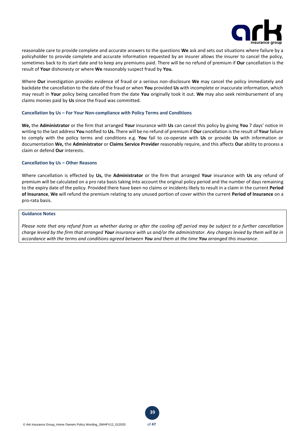

reasonable care to provide complete and accurate answers to the questions **We** ask and sets out situations where failure by a policyholder to provide complete and accurate information requested by an insurer allows the insurer to cancel the policy, sometimes back to its start date and to keep any premiums paid. There will be no refund of premium if **Our** cancellation is the result of **Your** dishonesty or where **We** reasonably suspect fraud by **You.** 

Where **Our** investigation provides evidence of fraud or a serious non-disclosure **We** may cancel the policy immediately and backdate the cancellation to the date of the fraud or when **You** provided **Us** with incomplete or inaccurate information, which may result in **Your** policy being cancelled from the date **You** originally took it out. **We** may also seek reimbursement of any claims monies paid by **Us** since the fraud was committed.

#### **Cancellation by Us – For Your Non-compliance with Policy Terms and Conditions**

**We,** the **Administrator** or the firm that arranged **Your** insurance with **Us** can cancel this policy by giving **You** 7 days' notice in writing to the last address **You** notified to **Us.** There will be no refund of premium if **Our** cancellation is the result of **Your** failure to comply with the policy terms and conditions e.g. **You** fail to co-operate with **Us** or provide **Us** with information or documentation **We,** the **Administrator** or **Claims Service Provider** reasonably require, and this affects **Our** ability to process a claim or defend **Our** interests.

#### **Cancellation by Us – Other Reasons**

Where cancellation is effected by **Us,** the **Administrator** or the firm that arranged **Your** insurance with **Us** any refund of premium will be calculated on a pro rata basis taking into account the original policy period and the number of days remaining to the expiry date of the policy. Provided there have been no claims or incidents likely to result in a claim in the current **Period of Insurance**, **We** will refund the premium relating to any unused portion of cover within the current **Period of Insurance** on a pro-rata basis.

## **Guidance Notes**

*Please note that any refund from us whether during or after the cooling off period may be subject to a further cancellation charge levied by the firm that arranged Your insurance with us and/or the administrator. Any charges levied by them will be in accordance with the terms and conditions agreed between You and them at the time You arranged this insurance.*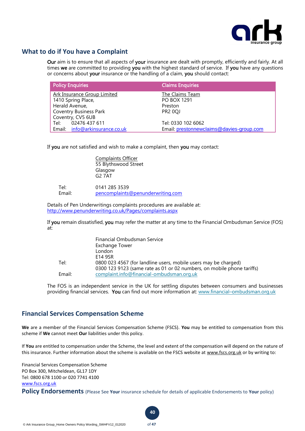

# **What to do if You have a Complaint**

Our aim is to ensure that all aspects of your insurance are dealt with promptly, efficiently and fairly. At all times we are committed to providing you with the highest standard of service. If you have any questions or concerns about your insurance or the handling of a claim, you should contact:

| <b>Policy Enquiries</b>        | <b>Claims Enquiries</b>                  |
|--------------------------------|------------------------------------------|
| Ark Insurance Group Limited    | The Claims Team                          |
| 1410 Spring Place,             | <b>PO BOX 1291</b>                       |
| Herald Avenue,                 | Preston                                  |
| <b>Coventry Business Park</b>  | <b>PR2 0QJ</b>                           |
| Coventry, CV5 6UB              |                                          |
| Tel: 02476 437 611             | Tel: 0330 102 6062                       |
| Email: info@arkinsurance.co.uk | Email: prestonnewclaims@davies-group.com |

If you are not satisfied and wish to make a complaint, then you may contact:

Complaints Officer 55 Blythswood Street Glasgow G2 7AT

Tel: 0141 285 3539 Email: [pencomplaints@penunderwriting.com](mailto:pencomplaints@penunderwriting.com)

Details of Pen Underwritings complaints procedures are available at: <http://www.penunderwriting.co.uk/Pages/complaints.aspx>

If you remain dissatisfied, you may refer the matter at any time to the Financial Ombudsman Service (FOS) at:

|        | Financial Ombudsman Service<br><b>Exchange Tower</b>                   |
|--------|------------------------------------------------------------------------|
|        | London                                                                 |
|        | E14 9SR                                                                |
| Tel:   | 0800 023 4567 (for landline users, mobile users may be charged)        |
|        | 0300 123 9123 (same rate as 01 or 02 numbers, on mobile phone tariffs) |
| Email: | complaint.info@financial-ombudsman.org.uk                              |

The FOS is an independent service in the UK for settling disputes between consumers and businesses providing financial services. You can find out more information at: www.financial-[ombudsman.org.uk](http://www.financial–ombudsman.org.uk/)

# **Financial Services Compensation Scheme**

**We** are a member of the Financial Services Compensation Scheme (FSCS). **You** may be entitled to compensation from this scheme if **We** cannot meet **Our** liabilities under this policy.

If **You** are entitled to compensation under the Scheme, the level and extent of the compensation will depend on the nature of this insurance. Further information about the scheme is available on the FSCS website at [www.fscs.org.uk](http://www.fscs.org.uk/) or by writing to:

Financial Services Compensation Scheme PO Box 300, Mitcheldean, GL17 1DY Tel: 0800 678 1100 or 020 7741 4100 [www.fscs.org.uk](http://www.fscs.org.uk/)

**Policy Endorsements** (Please See **Your** insurance schedule for details of applicable Endorsements to **Your** policy)

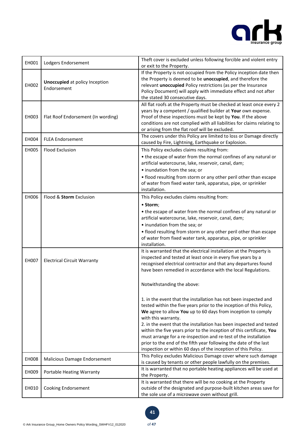

| EH001        | Lodgers Endorsement                                  | Theft cover is excluded unless following forcible and violent entry<br>or exit to the Property.                                                                                                                                                                                                                                                                                                                                               |
|--------------|------------------------------------------------------|-----------------------------------------------------------------------------------------------------------------------------------------------------------------------------------------------------------------------------------------------------------------------------------------------------------------------------------------------------------------------------------------------------------------------------------------------|
| EH002        | <b>Unoccupied</b> at policy Inception<br>Endorsement | If the Property is not occupied from the Policy inception date then<br>the Property is deemed to be unoccupied, and therefore the<br>relevant unoccupied Policy restrictions (as per the Insurance<br>Policy Document) will apply with immediate effect and not after<br>the stated 30 consecutive days.                                                                                                                                      |
| EH003        | Flat Roof Endorsement (In wording)                   | All flat roofs at the Property must be checked at least once every 2<br>years by a competent / qualified builder at Your own expense.<br>Proof of these inspections must be kept by You. If the above<br>conditions are not complied with all liabilities for claims relating to<br>or arising from the flat roof will be excluded.                                                                                                           |
| EH004        | <b>FLEA Endorsement</b>                              | The covers under this Policy are limited to loss or Damage directly<br>caused by Fire, Lightning, Earthquake or Explosion.                                                                                                                                                                                                                                                                                                                    |
| EH005        | <b>Flood Exclusion</b>                               | This Policy excludes claims resulting from:<br>• the escape of water from the normal confines of any natural or<br>artificial watercourse, lake, reservoir, canal, dam;<br>• inundation from the sea; or<br>• flood resulting from storm or any other peril other than escape<br>of water from fixed water tank, apparatus, pipe, or sprinkler<br>installation.                                                                               |
| EH006        | Flood & Storm Exclusion                              | This Policy excludes claims resulting from:<br>• Storm;<br>• the escape of water from the normal confines of any natural or<br>artificial watercourse, lake, reservoir, canal, dam;<br>• inundation from the sea; or<br>• flood resulting from storm or any other peril other than escape<br>of water from fixed water tank, apparatus, pipe, or sprinkler<br>installation.                                                                   |
| <b>EH007</b> | <b>Electrical Circuit Warranty</b>                   | It is warranted that the electrical installation at the Property is<br>inspected and tested at least once in every five years by a<br>recognised electrical contractor and that any departures found<br>have been remedied in accordance with the local Regulations.<br>Notwithstanding the above:<br>1. in the event that the installation has not been inspected and<br>tested within the five years prior to the inception of this Policy, |
|              |                                                      | We agree to allow You up to 60 days from inception to comply<br>with this warranty.<br>2. in the event that the installation has been inspected and tested<br>within the five years prior to the inception of this certificate, You<br>must arrange for a re-inspection and re-test of the installation<br>prior to the end of the fifth year following the date of the last<br>inspection or within 60 days of the inception of this Policy. |
| <b>EH008</b> | Malicious Damage Endorsement                         | This Policy excludes Malicious Damage cover where such damage<br>is caused by tenants or other people lawfully on the premises.                                                                                                                                                                                                                                                                                                               |
| EH009        | Portable Heating Warranty                            | It is warranted that no portable heating appliances will be used at<br>the Property.                                                                                                                                                                                                                                                                                                                                                          |
| EH010        | Cooking Endorsement                                  | It is warranted that there will be no cooking at the Property<br>outside of the designated and purpose-built kitchen areas save for<br>the sole use of a microwave oven without grill.                                                                                                                                                                                                                                                        |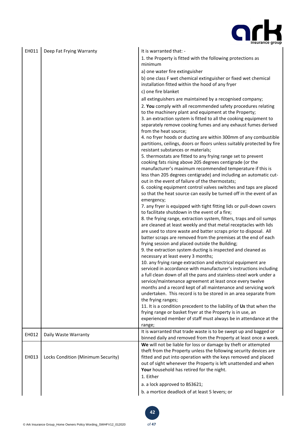

| EH011 | Deep Fat Frying Warranty           | It is warranted that: -<br>1. the Property is fitted with the following protections as<br>minimum<br>a) one water fire extinguisher<br>b) one class F wet chemical extinguisher or fixed wet chemical<br>installation fitted within the hood of any fryer<br>c) one fire blanket<br>all extinguishers are maintained by a recognised company;<br>2. You comply with all recommended safety procedures relating<br>to the machinery plant and equipment at the Property;<br>3. an extraction system is fitted to all the cooking equipment to<br>separately remove cooking fumes and any exhaust fumes derived<br>from the heat source;<br>4. no fryer hoods or ducting are within 300mm of any combustible<br>partitions, ceilings, doors or floors unless suitably protected by fire<br>resistant substances or materials;<br>5. thermostats are fitted to any frying range set to prevent<br>cooking fats rising above 205 degrees centigrade (or the<br>manufacturer's maximum recommended temperature if this is<br>less than 205 degrees centigrade) and including an automatic cut-<br>out in the event of failure of the thermostats;<br>6. cooking equipment control valves switches and taps are placed<br>so that the heat source can easily be turned off in the event of an<br>emergency;<br>7. any fryer is equipped with tight fitting lids or pull-down covers<br>to facilitate shutdown in the event of a fire;<br>8. the frying range, extraction system, filters, traps and oil sumps<br>are cleaned at least weekly and that metal receptacles with lids<br>are used to store waste and batter scraps prior to disposal. All<br>batter scraps are removed from the premises at the end of each<br>frying session and placed outside the Building;<br>9. the extraction system ducting is inspected and cleaned as<br>necessary at least every 3 months;<br>10. any frying range extraction and electrical equipment are<br>serviced in accordance with manufacturer's instructions including<br>a full clean down of all the pans and stainless-steel work under a<br>service/maintenance agreement at least once every twelve<br>months and a record kept of all maintenance and servicing work<br>undertaken. This record is to be stored in an area separate from<br>the frying ranges;<br>11. It is a condition precedent to the liability of Us that when the<br>frying range or basket fryer at the Property is in use, an |
|-------|------------------------------------|-----------------------------------------------------------------------------------------------------------------------------------------------------------------------------------------------------------------------------------------------------------------------------------------------------------------------------------------------------------------------------------------------------------------------------------------------------------------------------------------------------------------------------------------------------------------------------------------------------------------------------------------------------------------------------------------------------------------------------------------------------------------------------------------------------------------------------------------------------------------------------------------------------------------------------------------------------------------------------------------------------------------------------------------------------------------------------------------------------------------------------------------------------------------------------------------------------------------------------------------------------------------------------------------------------------------------------------------------------------------------------------------------------------------------------------------------------------------------------------------------------------------------------------------------------------------------------------------------------------------------------------------------------------------------------------------------------------------------------------------------------------------------------------------------------------------------------------------------------------------------------------------------------------------------------------------------------------------------------------------------------------------------------------------------------------------------------------------------------------------------------------------------------------------------------------------------------------------------------------------------------------------------------------------------------------------------------------------------------------------------------------------------------------------------------------------------------|
|       |                                    | experienced member of staff must always be in attendance at the<br>range;                                                                                                                                                                                                                                                                                                                                                                                                                                                                                                                                                                                                                                                                                                                                                                                                                                                                                                                                                                                                                                                                                                                                                                                                                                                                                                                                                                                                                                                                                                                                                                                                                                                                                                                                                                                                                                                                                                                                                                                                                                                                                                                                                                                                                                                                                                                                                                           |
| EH012 | Daily Waste Warranty               | It is warranted that trade waste is to be swept up and bagged or<br>binned daily and removed from the Property at least once a week.                                                                                                                                                                                                                                                                                                                                                                                                                                                                                                                                                                                                                                                                                                                                                                                                                                                                                                                                                                                                                                                                                                                                                                                                                                                                                                                                                                                                                                                                                                                                                                                                                                                                                                                                                                                                                                                                                                                                                                                                                                                                                                                                                                                                                                                                                                                |
| EH013 | Locks Condition (Minimum Security) | We will not be liable for loss or damage by theft or attempted<br>theft from the Property unless the following security devices are<br>fitted and put into operation with the keys removed and placed<br>out of sight whenever the Property is left unattended and when<br>Your household has retired for the night.<br>1. Either                                                                                                                                                                                                                                                                                                                                                                                                                                                                                                                                                                                                                                                                                                                                                                                                                                                                                                                                                                                                                                                                                                                                                                                                                                                                                                                                                                                                                                                                                                                                                                                                                                                                                                                                                                                                                                                                                                                                                                                                                                                                                                                   |
|       |                                    | a. a lock approved to BS3621;<br>b. a mortice deadlock of at least 5 levers; or                                                                                                                                                                                                                                                                                                                                                                                                                                                                                                                                                                                                                                                                                                                                                                                                                                                                                                                                                                                                                                                                                                                                                                                                                                                                                                                                                                                                                                                                                                                                                                                                                                                                                                                                                                                                                                                                                                                                                                                                                                                                                                                                                                                                                                                                                                                                                                     |

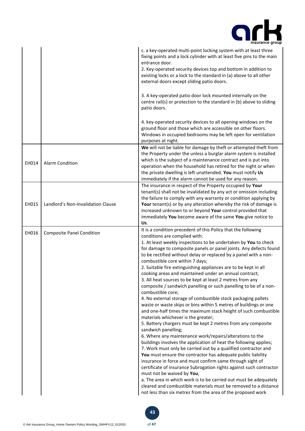

|       |                                    | c. a key-operated multi-point locking system with at least three<br>fixing points and a lock cylinder with at least five pins to the main<br>entrance door.<br>2. Key-operated security devices top and bottom in addition to<br>existing locks or a lock to the standard in (a) above to all other<br>external doors except sliding patio doors.<br>3. A key-operated patio door lock mounted internally on the<br>centre rail(s) or protection to the standard in (b) above to sliding<br>patio doors.<br>4. key-operated security devices to all opening windows on the<br>ground floor and those which are accessible on other floors.<br>Windows in occupied bedrooms may be left open for ventilation<br>purposes at night.                                                                                                                                                                                                                                                                                                                                                                                                                                                                                                                                                                                                                                                                                                                                                                                                                                                                                  |
|-------|------------------------------------|--------------------------------------------------------------------------------------------------------------------------------------------------------------------------------------------------------------------------------------------------------------------------------------------------------------------------------------------------------------------------------------------------------------------------------------------------------------------------------------------------------------------------------------------------------------------------------------------------------------------------------------------------------------------------------------------------------------------------------------------------------------------------------------------------------------------------------------------------------------------------------------------------------------------------------------------------------------------------------------------------------------------------------------------------------------------------------------------------------------------------------------------------------------------------------------------------------------------------------------------------------------------------------------------------------------------------------------------------------------------------------------------------------------------------------------------------------------------------------------------------------------------------------------------------------------------------------------------------------------------|
| EH014 | <b>Alarm Condition</b>             | We will not be liable for damage by theft or attempted theft from<br>the Property under the unless a burglar alarm system is installed<br>which is the subject of a maintenance contract and is put into<br>operation when the household has retired for the night or when<br>the private dwelling is left unattended. You must notify Us<br>immediately if the alarm cannot be used for any reason.                                                                                                                                                                                                                                                                                                                                                                                                                                                                                                                                                                                                                                                                                                                                                                                                                                                                                                                                                                                                                                                                                                                                                                                                               |
| EH015 | Landlord's Non-Invalidation Clause | The insurance in respect of the Property occupied by Your<br>tenant(s) shall not be invalidated by any act or omission including<br>the failure to comply with any warranty or condition applying by<br>Your tenant(s) or by any alteration whereby the risk of damage is<br>increased unknown to or beyond Your control provided that<br>immediately You become aware of the same You give notice to<br>Us.                                                                                                                                                                                                                                                                                                                                                                                                                                                                                                                                                                                                                                                                                                                                                                                                                                                                                                                                                                                                                                                                                                                                                                                                       |
| EH016 | <b>Composite Panel Condition</b>   | It is a condition precedent of this Policy that the following<br>conditions are complied with:<br>1. At least weekly inspections to be undertaken by You to check<br>for damage to composite panels or panel joints. Any defects found<br>to be rectified without delay or replaced by a panel with a non-<br>combustible core within 7 days;<br>2. Suitable fire extinguishing appliances are to be kept in all<br>cooking areas and maintained under an annual contract;<br>3. All heat sources to be kept at least 2 metres from any<br>composite / sandwich panelling or such panelling to be of a non-<br>combustible core;<br>4. No external storage of combustible stock packaging pallets<br>waste or waste skips or bins within 5 metres of buildings or one<br>and one-half times the maximum stack height of such combustible<br>materials whichever is the greater;<br>5. Battery chargers must be kept 2 metres from any composite<br>sandwich panelling;<br>6. Where any maintenance work/repairs/alterations to the<br>buildings involves the application of heat the following applies;<br>7. Work must only be carried out by a qualified contractor and<br>You must ensure the contractor has adequate public liability<br>insurance in force and must confirm same through sight of<br>certificate of insurance Subrogation rights against such contractor<br>must not be waived by You,<br>a. The area in which work is to be carried out must be adequately<br>cleared and combustible materials must be removed to a distance<br>not less than six metres from the area of the proposed work |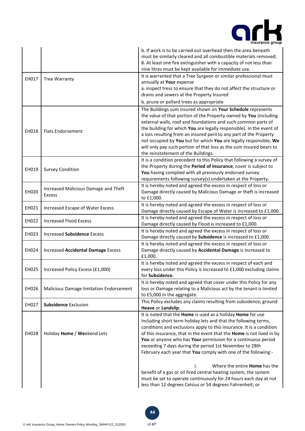

|              |                                                       | b. If work is to be carried out overhead then the area beneath<br>must be similarly cleared and all combustible materials removed;<br>8. At least one fire extinguisher with a capacity of not less than<br>nine litres must be kept available for immediate use.                                                                                                                                                                                                             |
|--------------|-------------------------------------------------------|-------------------------------------------------------------------------------------------------------------------------------------------------------------------------------------------------------------------------------------------------------------------------------------------------------------------------------------------------------------------------------------------------------------------------------------------------------------------------------|
| EH017        | <b>Tree Warranty</b>                                  | It is warranted that a Tree Surgeon or similar professional must<br>annually at Your expense<br>a. inspect tress to ensure that they do not affect the structure or<br>drains and sewers at the Property Insured                                                                                                                                                                                                                                                              |
|              |                                                       | b. prune or pollard trees as appropriate<br>The Buildings sum insured shown on Your Schedule represents                                                                                                                                                                                                                                                                                                                                                                       |
| EH018        | <b>Flats Endorsement</b>                              | the value of that portion of the Property owned by You (including<br>external walls, roof and foundations and such common parts of<br>the building for which You are legally responsible). In the event of<br>a loss resulting from an insured peril to any part of the Property<br>not occupied by You but for which You are legally responsible, We<br>will only pay such portion of that loss as the sum insured bears to<br>the reinstatement of the Buildings.           |
| EH019        | <b>Survey Condition</b>                               | It is a condition precedent to this Policy that following a survey of<br>the Property during the Period of Insurance, cover is subject to<br>You having complied with all previously endorsed survey<br>requirements following survey(s) undertaken at the Property.                                                                                                                                                                                                          |
| EH020        | Increased Malicious Damage and Theft<br><b>Excess</b> | It is hereby noted and agreed the excess in respect of loss or<br>Damage directly caused by Malicious Damage or theft is increased<br>to £1,000.                                                                                                                                                                                                                                                                                                                              |
| EH021        | Increased Escape of Water Excess                      | It is hereby noted and agreed the excess in respect of loss or<br>Damage directly caused by Escape of Water is increased to £1,000.                                                                                                                                                                                                                                                                                                                                           |
| EH022        | <b>Increased Flood Excess</b>                         | It is hereby noted and agreed the excess in respect of loss or<br>Damage directly caused by Flood is increased to £1,000.                                                                                                                                                                                                                                                                                                                                                     |
| EH023        | <b>Increased Subsidence Excess</b>                    | It is hereby noted and agreed the excess in respect of loss or<br>Damage directly caused by Subsidence is increased to £1,000.                                                                                                                                                                                                                                                                                                                                                |
| EH024        | <b>Increased Accidental Damage Excess</b>             | It is hereby noted and agreed the excess in respect of loss or<br>Damage directly caused by Accidental Damage is increased to<br>£1,000.                                                                                                                                                                                                                                                                                                                                      |
| EH025        | Increased Policy Excess (£1,000)                      | It is hereby noted and agreed the excess in respect of each and<br>every loss under this Policy is increased to £1,000 excluding claims<br>for Subsidence.                                                                                                                                                                                                                                                                                                                    |
| EH026        | Malicious Damage limitation Endorsement               | It is hereby noted and agreed that cover under this Policy for any<br>loss or Damage relating to a Malicious act by the tenant is limited<br>to £5,000 in the aggregate.                                                                                                                                                                                                                                                                                                      |
| EH027        | <b>Subsidence Exclusion</b>                           | This Policy excludes any claims resulting from subsidence, ground<br>Heave or Landslip.                                                                                                                                                                                                                                                                                                                                                                                       |
| <b>EH028</b> | Holiday Home / Weekend Lets                           | It is noted that the Home is used as a holiday Home for use<br>including short term holiday lets and that the following terms,<br>conditions and exclusions apply to this insurance. It is a condition<br>of this insurance, that in the event that the Home is not lived in by<br>You or anyone who has Your permission for a continuous period<br>exceeding 7 days during the period 1st November to 28th<br>February each year that You comply with one of the following:- |
|              |                                                       | Where the entire <b>Home</b> has the<br>benefit of a gas or oil fired central heating system, the system<br>must be set to operate continuously for 24 hours each day at not<br>less than 12 degrees Celsius or 54 degrees Fahrenheit; or                                                                                                                                                                                                                                     |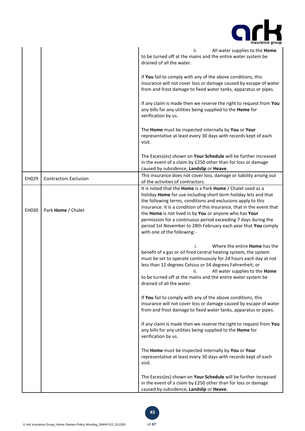

|       |                              | ii.<br>All water supplies to the Home<br>to be turned off at the mains and the entire water system be<br>drained of all the water.                                                                                                                                                                                                                                                                                                                                                                    |
|-------|------------------------------|-------------------------------------------------------------------------------------------------------------------------------------------------------------------------------------------------------------------------------------------------------------------------------------------------------------------------------------------------------------------------------------------------------------------------------------------------------------------------------------------------------|
|       |                              | If You fail to comply with any of the above conditions, this<br>insurance will not cover loss or damage caused by escape of water<br>from and frost damage to fixed water tanks, apparatus or pipes.                                                                                                                                                                                                                                                                                                  |
|       |                              | If any claim is made then we reserve the right to request from You<br>any bills for any utilities being supplied to the Home for<br>verification by us.                                                                                                                                                                                                                                                                                                                                               |
|       |                              | The Home must be inspected internally by You or Your<br>representative at least every 30 days with records kept of each<br>visit.                                                                                                                                                                                                                                                                                                                                                                     |
|       |                              | The Excess(es) shown on Your Schedule will be further increased<br>in the event of a claim by £250 other than for loss or damage<br>caused by subsidence, Landslip or Heave.                                                                                                                                                                                                                                                                                                                          |
| EH029 | <b>Contractors Exclusion</b> | This insurance does not cover loss, damage or liability arising out<br>of the activities of contractors.                                                                                                                                                                                                                                                                                                                                                                                              |
| EH030 | Park Home / Chalet           | It is noted that the Home is a Park Home / Chalet used as a<br>holiday Home for use including short term holiday lets and that<br>the following terms, conditions and exclusions apply to this<br>insurance. It is a condition of this insurance, that in the event that<br>the Home is not lived in by You or anyone who has Your<br>permission for a continuous period exceeding 7 days during the<br>period 1st November to 28th February each year that You comply<br>with one of the following:- |
|       |                              | Where the entire <b>Home</b> has the<br>benefit of a gas or oil fired central heating system, the system<br>must be set to operate continuously for 24 hours each day at not<br>less than 12 degrees Celsius or 54 degrees Fahrenheit; or<br>All water supplies to the Home<br>ii.<br>to be turned off at the mains and the entire water system be<br>drained of all the water.                                                                                                                       |
|       |                              | If You fail to comply with any of the above conditions, this<br>insurance will not cover loss or damage caused by escape of water<br>from and frost damage to fixed water tanks, apparatus or pipes.                                                                                                                                                                                                                                                                                                  |
|       |                              | If any claim is made then we reserve the right to request from You<br>any bills for any utilities being supplied to the Home for<br>verification by us.                                                                                                                                                                                                                                                                                                                                               |
|       |                              | The Home must be inspected internally by You or Your<br>representative at least every 30 days with records kept of each<br>visit.                                                                                                                                                                                                                                                                                                                                                                     |
|       |                              | The Excess(es) shown on Your Schedule will be further increased<br>in the event of a claim by £250 other than for loss or damage<br>caused by subsidence, Landslip or Heave.                                                                                                                                                                                                                                                                                                                          |

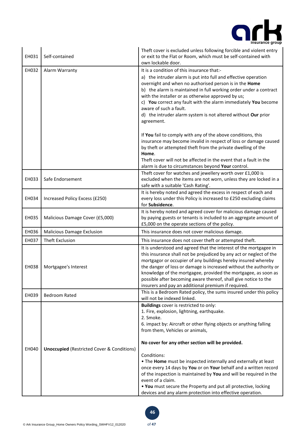

| EH031 | Self-contained                                        | Theft cover is excluded unless following forcible and violent entry<br>or exit to the Flat or Room, which must be self-contained with<br>own lockable door. |
|-------|-------------------------------------------------------|-------------------------------------------------------------------------------------------------------------------------------------------------------------|
| EH032 | Alarm Warranty                                        | It is a condition of this insurance that:-                                                                                                                  |
|       |                                                       | a) the intruder alarm is put into full and effective operation                                                                                              |
|       |                                                       | overnight and when no authorised person is in the Home                                                                                                      |
|       |                                                       | b) the alarm is maintained in full working order under a contract                                                                                           |
|       |                                                       | with the installer or as otherwise approved by us;                                                                                                          |
|       |                                                       | c) You correct any fault with the alarm immediately You become                                                                                              |
|       |                                                       | aware of such a fault.                                                                                                                                      |
|       |                                                       | d) the intruder alarm system is not altered without Our prior                                                                                               |
|       |                                                       | agreement.                                                                                                                                                  |
|       |                                                       | If You fail to comply with any of the above conditions, this                                                                                                |
|       |                                                       | insurance may become invalid in respect of loss or damage caused                                                                                            |
|       |                                                       | by theft or attempted theft from the private dwelling of the                                                                                                |
|       |                                                       | Home.                                                                                                                                                       |
|       |                                                       | Theft cover will not be affected in the event that a fault in the<br>alarm is due to circumstances beyond Your control.                                     |
|       |                                                       | Theft cover for watches and jewellery worth over £1,000 is                                                                                                  |
| EH033 | Safe Endorsement                                      | excluded when the items are not worn, unless they are locked in a                                                                                           |
|       |                                                       | safe with a suitable 'Cash Rating'.                                                                                                                         |
|       |                                                       | It is hereby noted and agreed the excess in respect of each and                                                                                             |
| EH034 | Increased Policy Excess (£250)                        | every loss under this Policy is increased to £250 excluding claims                                                                                          |
|       |                                                       | for Subsidence.                                                                                                                                             |
|       |                                                       | It is hereby noted and agreed cover for malicious damage caused                                                                                             |
| EH035 | Malicious Damage Cover (£5,000)                       | by paying guests or tenants is included to an aggregate amount of                                                                                           |
| EH036 | <b>Malicious Damage Exclusion</b>                     | £5,000 on the operate sections of the policy.<br>This insurance does not cover malicious damage.                                                            |
|       |                                                       |                                                                                                                                                             |
| EH037 | Theft Exclusion                                       | This insurance does not cover theft or attempted theft.                                                                                                     |
|       |                                                       | It is understood and agreed that the interest of the mortgagee in<br>this insurance shall not be prejudiced by any act or neglect of the                    |
|       |                                                       | mortgagor or occupier of any buildings hereby insured whereby                                                                                               |
| EH038 | Mortgagee's Interest                                  | the danger of loss or damage is increased without the authority or                                                                                          |
|       |                                                       | knowledge of the mortgagee, provided the mortgagee, as soon as                                                                                              |
|       |                                                       | possible after becoming aware thereof, shall give notice to the                                                                                             |
|       |                                                       | insurers and pay an additional premium if required.                                                                                                         |
| EH039 | <b>Bedroom Rated</b>                                  | This is a Bedroom Rated policy, the sums insured under this policy                                                                                          |
|       |                                                       | will not be indexed linked.                                                                                                                                 |
|       |                                                       | Buildings cover is restricted to only:                                                                                                                      |
|       |                                                       | 1. Fire, explosion, lightning, earthquake.<br>2. Smoke.                                                                                                     |
|       |                                                       | 6. impact by: Aircraft or other flying objects or anything falling                                                                                          |
|       |                                                       | from them, Vehicles or animals,                                                                                                                             |
|       |                                                       |                                                                                                                                                             |
|       |                                                       | No cover for any other section will be provided.                                                                                                            |
| EH040 | <b>Unoccupied (Restricted Cover &amp; Conditions)</b> |                                                                                                                                                             |
|       |                                                       | Conditions:                                                                                                                                                 |
|       |                                                       | . The Home must be inspected internally and externally at least                                                                                             |
|       |                                                       | once every 14 days by You or on Your behalf and a written record                                                                                            |
|       |                                                       | of the inspection is maintained by You and will be required in the<br>event of a claim.                                                                     |
|       |                                                       | . You must secure the Property and put all protective, locking                                                                                              |
|       |                                                       | devices and any alarm protection into effective operation.                                                                                                  |